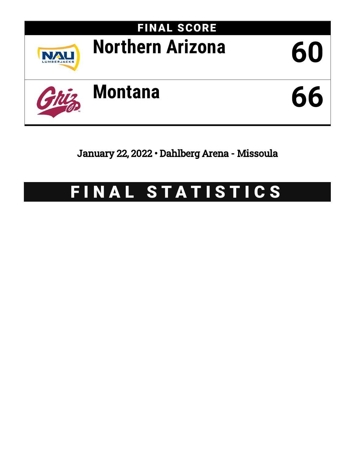

January 22, 2022 • Dahlberg Arena - Missoula

# FINAL STATISTICS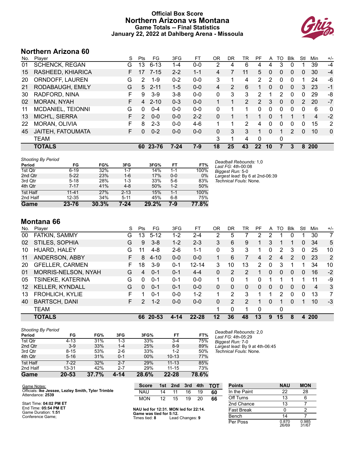## **Official Box Score Northern Arizona vs Montana Game Totals -- Final Statistics January 22, 2022 at Dahlberg Arena - Missoula**



## **Northern Arizona 60**

| No. | Plaver                   | S  | Pts           | FG       | 3FG      | FT      | OR | <b>DR</b> | TR            | PF                | A            | TO           | <b>B</b> lk   | Stl      | Min        | $+/-$          |
|-----|--------------------------|----|---------------|----------|----------|---------|----|-----------|---------------|-------------------|--------------|--------------|---------------|----------|------------|----------------|
| 01  | <b>SCHENCK, REGAN</b>    | G  | 13            | $6 - 13$ | 1-4      | $0-0$   | 2  | 4         | 6             | 4                 | 4            | 3            | 0             |          | 39         | $-4$           |
| 15  | RASHEED, KHIARICA        | F. | 17            | $7 - 15$ | $2 - 2$  | $1 - 1$ | 4  |           | 11            | 5.                | 0            | 0            | 0             | 0        | 30         | $-4$           |
| 20  | ORNDOFF, LAUREN          | G  | 2             | $1 - 9$  | $0 - 2$  | $0 - 0$ | 3  | 1         | 4             | 2                 | 2            | 0            | $\Omega$      | 1        | 24         | -6             |
| 21  | RODABAUGH, EMILY         | G  | 5             | $2 - 11$ | $1 - 5$  | $0 - 0$ | 4  | 2         | 6             | 1                 | $\mathbf{0}$ | $\mathbf{0}$ | $\mathbf{0}$  | 3        | 23         | $-1$           |
| 30  | RADFORD, NINA            | F  | 9             | $3-9$    | $3 - 8$  | $0 - 0$ | 0  | 3         | 3             | 2                 |              | 2            | $\Omega$      | 0        | 29         | -8             |
| 02  | MORAN, NYAH              | F  | 4             | $2 - 10$ | $0 - 3$  | $0 - 0$ |    | 1         | $\mathcal{P}$ | $\mathcal{P}$     | 3            | $\Omega$     | $\Omega$      | 2        | 20         | $-7$           |
| 11  | MCDANIEL, TEIONNI        | G  | $\Omega$      | $0 - 4$  | $0 - 0$  | $0 - 0$ | 0  |           |               | 0                 | 0            | 0            | 0             | 0        | 6          | 0              |
| 13  | MICH'L, SIERRA           | F. | $\mathcal{P}$ | $0 - 0$  | $0 - 0$  | $2 - 2$ | 0  |           |               |                   | 0            |              |               |          | 4          | $-2$           |
| 22  | MORAN, OLIVIA            | F  | 8             | $2 - 3$  | $0 - 0$  | $4-6$   |    | 1         | 2             | 4                 | 0            | 0            | 0             | 0        | 15         | $\overline{2}$ |
| 45  | <b>JAITEH, FATOUMATA</b> | F. | $\Omega$      | $0 - 2$  | $0 - 0$  | $0 - 0$ | 0  | 3         | 3             | 1                 | 0            |              | $\mathcal{P}$ | $\Omega$ | 10         | 0              |
|     | TEAM                     |    |               |          |          |         | 3  | 1         | 4             | $\Omega$          |              | 0            |               |          |            |                |
|     | <b>TOTALS</b>            |    | 60            | 23-76    | $7 - 24$ | 7-9     | 18 | 25        | 43            | $22 \overline{)}$ | 10           | 7            | 3             | 8        | <b>200</b> |                |

| <b>Shooting By Period</b> |           |       |          |       |         |       |
|---------------------------|-----------|-------|----------|-------|---------|-------|
| Period                    | FG        | FG%   | 3FG      | 3FG%  | FT      | FT%   |
| 1st Qtr                   | $6 - 19$  | 32%   | $1 - 7$  | 14%   | 1-1     | 100%  |
| 2nd Qtr                   | $5 - 22$  | 23%   | $1 - 6$  | 17%   | $0 - 0$ | 0%    |
| 3rd Qtr                   | $5 - 18$  | 28%   | $1 - 3$  | 33%   | $5-6$   | 83%   |
| 4th Qtr                   | $7 - 17$  | 41%   | $4 - 8$  | 50%   | $1 - 2$ | 50%   |
| 1st Half                  | $11 - 41$ | 27%   | $2 - 13$ | 15%   | $1 - 1$ | 100%  |
| 2nd Half                  | $12 - 35$ | 34%   | $5 - 11$ | 45%   | $6 - 8$ | 75%   |
| Game                      | 23-76     | 30.3% | 7-24     | 29.2% | 7-9     | 77.8% |

*Deadball Rebounds:* 1,0 *Last FG:* 4th-00:08 *Biggest Run:* 5-0 *Largest lead:* By 6 at 2nd-06:39 *Technical Fouls:* None.

## **Montana 66**

| No. | Plaver                 | S | Pts           | FG        | 3FG     | FТ        | 0R | DR       | TR             | PF             | A | TO            | Blk      | Stl          | Min | $+/-$ |
|-----|------------------------|---|---------------|-----------|---------|-----------|----|----------|----------------|----------------|---|---------------|----------|--------------|-----|-------|
| 00  | FATKIN, SAMMY          | G | 3             | $5 - 12$  | $1-2$   | $2 - 4$   | 2  | 5        |                | 2              | 2 |               | 0        |              | 30  | 7     |
| 02  | STILES, SOPHIA         | G | 9             | $3 - 8$   | $1 - 2$ | $2 - 3$   | 3  | 6        | 9              |                | 3 |               |          | $\mathbf{0}$ | 34  | 5     |
| 10  | HUARD, HALEY           | G | 11            | $4 - 8$   | $2-6$   | $1 - 1$   | 0  | 3        | 3              |                | 0 | 2             | 3        | 0            | 25  | 10    |
| 11  | ANDERSON, ABBY         | F | 8             | $4 - 10$  | $0 - 0$ | $0 - 0$   |    | 6        |                | 4              | 2 | 4             | 2        | 0            | 23  | 2     |
| 20  | <b>GFELLER, CARMEN</b> | F | 18            | $3-9$     | $0 - 1$ | $12 - 14$ | 3  | 10       | 13             | $\overline{2}$ | 0 | 3             |          |              | 34  | 10    |
| 01  | MORRIS-NELSON, NYAH    | G | 4             | $0 - 1$   | $0 - 1$ | $4 - 4$   | 0  | 2        | $\overline{2}$ |                | 0 | 0             | $\Omega$ | $\Omega$     | 16  | $-2$  |
| 05  | TSINEKE, KATERINA      | G | 0             | $0 - 1$   | $0 - 1$ | $0 - 0$   |    | $\Omega$ | 1              | 0              |   |               | 1        | 1            | 11  | -9    |
| 12  | <b>KELLER, KYNDALL</b> | G | 0             | $0 - 1$   | $0 - 1$ | $0 - 0$   | 0  | $\Omega$ | $\Omega$       | $\Omega$       | 0 | 0             | $\Omega$ | $\Omega$     | 4   | 3     |
| 13  | FROHLICH, KYLIE        | F |               | $0 - 1$   | $0 - 0$ | $1 - 2$   |    | 2        | 3              |                |   | $\mathcal{P}$ | $\Omega$ | 0            | 13  | 7     |
| 40  | <b>BARTSCH, DANI</b>   | F | $\mathcal{P}$ | $1 - 2$   | $0 - 0$ | $0 - 0$   | 0  | 2        | 2              |                | 0 |               | $\Omega$ |              | 10  | $-3$  |
|     | <b>TEAM</b>            |   |               |           |         |           |    | 0        | 1              | $\Omega$       |   | 0             |          |              |     |       |
|     | <b>TOTALS</b>          |   | 66            | $20 - 53$ | 4-14    | $22 - 28$ | 12 | 36       | 48             | 13             | 9 | 15            | 8        | 4            | 200 |       |

| <b>Shooting By Period</b> |          |       |         |       |           |       |
|---------------------------|----------|-------|---------|-------|-----------|-------|
| Period                    | FG       | FG%   | 3FG     | 3FG%  | FT        | FT%   |
| 1st Otr                   | $4 - 13$ | 31%   | $1 - 3$ | 33%   | $3 - 4$   | 75%   |
| 2nd Qtr                   | $3-9$    | 33%   | $1 - 4$ | 25%   | $8-9$     | 89%   |
| 3rd Qtr                   | $8 - 15$ | 53%   | $2-6$   | 33%   | $1 - 2$   | 50%   |
| 4th Qtr                   | $5 - 16$ | 31%   | $0 - 1$ | 00%   | $10 - 13$ | 77%   |
| 1st Half                  | $7-22$   | 32%   | $2 - 7$ | 29%   | $11 - 13$ | 85%   |
| 2nd Half                  | 13-31    | 42%   | $2 - 7$ | 29%   | $11 - 15$ | 73%   |
| Game                      | 20-53    | 37.7% | 4-14    | 28.6% | $22 - 28$ | 78.6% |

*Deadball Rebounds:* 2,0 *Last FG:* 4th-05:29 *Biggest Run:* 7-0 *Largest lead:* By 9 at 4th-06:45 *Technical Fouls:* None.

| Game Notes:                                                            | Score                               |    | 1st 2nd 3rd |    | 4th | ומד |
|------------------------------------------------------------------------|-------------------------------------|----|-------------|----|-----|-----|
| Officials: Ike Jessee, Lezley Smith, Tyler Trimble<br>Attendance: 2539 | <b>NAU</b>                          | 14 | 11          | 16 | 19  | 60  |
|                                                                        | <b>MON</b>                          | 12 | 15.         | 19 | 20  | 66  |
| Start Time: 04:02 PM ET<br>End Time: 05:54 PM ET                       | MAILING for 49.24 MON Ind for 22:44 |    |             |    |     |     |

MON 12 15 19 20 **66**

**Score 1st 2nd 3rd 4th TOT**

|                         | NAU led for 12:31. MON led for 22:14. |
|-------------------------|---------------------------------------|
| Game was tied for 5:12. |                                       |
| Times tied: <b>8</b>    | Lead Changes: 9                       |

| <b>Points</b>     | <b>NAU</b>     | <b>MON</b>     |
|-------------------|----------------|----------------|
| In the Paint      | 22             | 28             |
| Off Turns         | 13             | հ              |
| 2nd Chance        | 13             |                |
| <b>Fast Break</b> | ი              | 2              |
| Bench             | 14             |                |
| Per Poss          | 0.870<br>26/69 | 0.985<br>31/67 |

End Time: **05:54 PM ET** Game Duration: **1:51** Conference Game;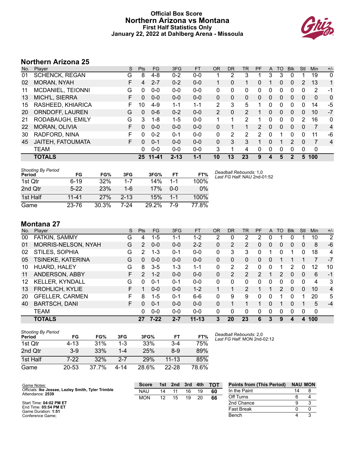## **Official Box Score Northern Arizona vs Montana First Half Statistics Only January 22, 2022 at Dahlberg Arena - Missoula**



# **Northern Arizona 25**

| No. | Plaver                | S. | <b>Pts</b> | <b>FG</b> | 3FG      | <b>FT</b> | <b>OR</b>     | <b>DR</b> | TR             | PF             | A | TO       | <b>B</b> lk | Stl      | Min          | $+/-$          |
|-----|-----------------------|----|------------|-----------|----------|-----------|---------------|-----------|----------------|----------------|---|----------|-------------|----------|--------------|----------------|
| 01  | <b>SCHENCK, REGAN</b> | G  | 8          | $4 - 8$   | $0 - 2$  | $0-0$     |               | 2         | 3              |                | 3 | 3        | 0           |          | 19           | $\mathbf{0}$   |
| 02  | MORAN, NYAH           | F  | 4          | $2 - 7$   | $0 - 2$  | $0 - 0$   |               | 0         |                | 0              |   | 0        | 0           | 2        | 13           | 1              |
| 11  | MCDANIEL, TEIONNI     | G  | 0          | $0 - 0$   | $0 - 0$  | $0 - 0$   | 0             | 0         | 0              | 0              | 0 | 0        | 0           | 0        | 2            | -1             |
| 13  | MICH'L, SIERRA        | F. | 0          | $0 - 0$   | $0 - 0$  | $0 - 0$   | 0             | 0         | 0              | 0              | 0 | 0        | 0           | 0        | $\mathbf{0}$ | 0              |
| 15  | RASHEED, KHIARICA     | F  | 10         | $4 - 9$   | $1 - 1$  | $1 - 1$   | 2             | 3         | 5              |                | 0 | 0        | 0           | 0        | 14           | -5             |
| 20  | ORNDOFF, LAUREN       | G  | 0          | $0 - 6$   | $0 - 2$  | $0 - 0$   | $\mathcal{P}$ | $\Omega$  | $\overline{2}$ |                | 0 | 0        | 0           | 0        | 10           | $-7$           |
| 21  | RODABAUGH, EMILY      | G  | 3          | $1 - 8$   | $1-5$    | $0 - 0$   |               | 1         | $\mathcal{P}$  | 1              | 0 | 0        | 0           | 2        | 16           | 0              |
| 22  | MORAN, OLIVIA         | F. | 0          | $0 - 0$   | $0 - 0$  | $0 - 0$   | 0             | 1         |                | $\overline{2}$ | 0 | $\Omega$ | $\Omega$    | $\Omega$ | 7            | 4              |
| 30  | RADFORD, NINA         | F  | $\Omega$   | $0 - 2$   | $0 - 1$  | $0 - 0$   | 0             | 2         | 2              | 2              | 0 |          | 0           | 0        | 11           | -6             |
| 45  | JAITEH, FATOUMATA     | F. | 0          | $0 - 1$   | $0 - 0$  | $0 - 0$   | 0             | 3         | 3              |                | 0 |          | 2           | $\Omega$ | 7            | $\overline{4}$ |
|     | <b>TEAM</b>           |    | 0          | $0 - 0$   | $0 - 0$  | $0 - 0$   | 3             | 1         | 4              | 0              | 0 | 0        | $\Omega$    | 0        | $\mathbf 0$  |                |
|     | <b>TOTALS</b>         |    |            | 25 11-41  | $2 - 13$ | $1 - 1$   | 10            | 13        | 23             | 9              | 4 | 5        | 2           | 5        | 100          |                |

| Shooting By Period<br>Period | FG        | FG%   | 3FG      | 3FG%  | FТ      | FT%   |
|------------------------------|-----------|-------|----------|-------|---------|-------|
| 1st Otr                      | $6-19$    | 32%   | $1 - 7$  | 14%   | 1-1     | 100%  |
| 2nd Qtr                      | $5-22$    | 23%   | 1-6      | 17%   | ი-ი     | $0\%$ |
| 1st Half                     | $11 - 41$ | 27%   | $2 - 13$ | 15%   | $1 - 1$ | 100%  |
| Game                         | 23-76     | 30.3% | 7-24     | 29.2% | 7-9     | 77.8% |

*Deadball Rebounds:* 1,0 *Last FG Half:* NAU 2nd-01:52

# **Montana 27**

| No. | Plaver                 | S  | <b>Pts</b> | FG       | 3FG     | <b>FT</b> | <b>OR</b> | DR | TR            | PF            | A | TO            | <b>B</b> lk | Stl      | Min         | $+/-$          |
|-----|------------------------|----|------------|----------|---------|-----------|-----------|----|---------------|---------------|---|---------------|-------------|----------|-------------|----------------|
| 00  | FATKIN, SAMMY          | G  | 4          | $1 - 5$  | $1 - 1$ | $1 - 2$   | 2         | 0  | 2             | 2             | 0 |               | 0           |          | 10          | $\overline{2}$ |
| 01  | MORRIS-NELSON, NYAH    | G  | 2          | $0 - 0$  | $0 - 0$ | $2 - 2$   | $\Omega$  | 2  | 2             | 0             | 0 | 0             | 0           | 0        | 8           | $-6$           |
| 02  | STILES, SOPHIA         | G  | 2          | 1-3      | $0 - 1$ | $0 - 0$   | 0         | 3  | 3             | 0             |   | 0             |             | 0        | 18          | 4              |
| 05  | TSINEKE, KATERINA      | G  | 0          | $0 - 0$  | $0 - 0$ | $0 - 0$   | 0         | 0  | 0             | 0             | 0 |               |             |          |             | $-7$           |
| 10  | HUARD, HALEY           | G  | 8          | $3 - 5$  | 1-3     | 1-1       | 0         | 2  | 2             | 0             | 0 |               | 2           | 0        | 12          | 10             |
| 11  | ANDERSON, ABBY         | F  | 2          | $1 - 2$  | $0 - 0$ | $0 - 0$   | $\Omega$  | 2  | 2             | $\mathcal{P}$ | 1 | 2             | 0           | 0        | 6           | $-1$           |
| 12  | <b>KELLER, KYNDALL</b> | G  | 0          | $0 - 1$  | $0 - 1$ | $0 - 0$   | 0         | 0  | $\Omega$      | 0             | 0 | 0             | 0           | $\Omega$ | 4           | 3              |
| 13  | <b>FROHLICH, KYLIE</b> | F. |            | $0 - 0$  | $0 - 0$ | $1 - 2$   |           |    | $\mathcal{P}$ |               |   | $\mathcal{P}$ | 0           | 0        | 10          | $\overline{4}$ |
| 20  | <b>GFELLER, CARMEN</b> | F  | 8          | $1-5$    | $0 - 1$ | $6-6$     | 0         | 9  | 9             | 0             | 0 |               | 0           |          | 20          | 5              |
| 40  | <b>BARTSCH, DANI</b>   | F. | 0          | $0 - 1$  | $0 - 0$ | $0 - 0$   | $\Omega$  |    |               |               | 0 |               | 0           |          | 5           | $-4$           |
|     | <b>TEAM</b>            |    | 0          | $0 - 0$  | $0 - 0$ | $0 - 0$   | 0         | 0  | $\Omega$      | 0             | 0 | 0             | 0           | 0        | $\mathbf 0$ |                |
|     | <b>TOTALS</b>          |    | 27         | $7 - 22$ | $2 - 7$ | $11 - 13$ | 3.        | 20 | 23            | 6             | 3 | 9             | 4           | 4        | 100         |                |

| Shooting By Period<br>Period | FG        | FG%   | 3FG  | 3FG%  | FТ        | FT%   |
|------------------------------|-----------|-------|------|-------|-----------|-------|
| 1st Otr                      | $4 - 13$  | 31%   | 1-3  | 33%   | $3-4$     | 75%   |
| 2nd Qtr                      | $3-9$     | 33%   | 1-4  | 25%   | $8-9$     | 89%   |
| 1st Half                     | 7-22      | 32%   | 2-7  | 29%   | $11 - 13$ | 85%   |
| Game                         | $20 - 53$ | 37 7% | 4-14 | 28.6% | 22-28     | 78.6% |

*Deadball Rebounds:* 2,0 *Last FG Half:* MON 2nd-02:12

| Game Notes:                                                            | <b>Score</b> | 1st \ | 2nd | 3rd | 4th | <b>TOT</b> | <b>Points from (This Period)</b> | <b>NAU MON</b> |  |
|------------------------------------------------------------------------|--------------|-------|-----|-----|-----|------------|----------------------------------|----------------|--|
| Officials: Ike Jessee, Lezley Smith, Tyler Trimble<br>Attendance: 2539 | <b>NAU</b>   | 14    |     | 16  | 19  | 60         | In the Paint                     | 14             |  |
|                                                                        | <b>MON</b>   | 12    |     | 19  | 20  | 66         | Off Turns                        |                |  |
| Start Time: 04:02 PM ET                                                |              |       |     |     |     |            | 2nd Chance                       |                |  |
| End Time: 05:54 PM ET<br>Game Duration: 1:51                           |              |       |     |     |     |            | <b>Fast Break</b>                |                |  |
| Conference Game:                                                       |              |       |     |     |     |            | Bench                            |                |  |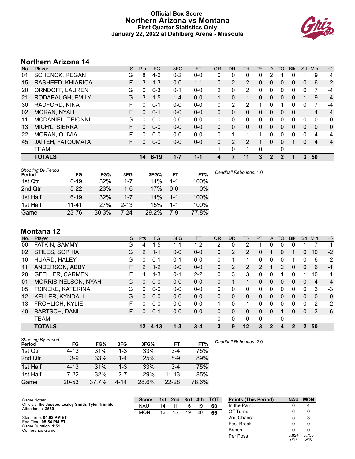## **Official Box Score Northern Arizona vs Montana First Quarter Statistics Only January 22, 2022 at Dahlberg Arena - Missoula**



# **Northern Arizona 14**

| No. | Plaver                | S | <b>Pts</b> | <b>FG</b> | 3FG     | <b>FT</b> | 0R           | <b>DR</b> | TR | <b>PF</b> | A             | TO       | <b>Blk</b> | Stl      | Min      | $+/-$          |
|-----|-----------------------|---|------------|-----------|---------|-----------|--------------|-----------|----|-----------|---------------|----------|------------|----------|----------|----------------|
| 01  | <b>SCHENCK, REGAN</b> | G | 8          | 4-6       | $0 - 2$ | $0 - 0$   | $\mathbf{0}$ | 0         | 0  | 0         | 2             |          | 0          |          | 9        | 4              |
| 15  | RASHEED, KHIARICA     | F | 3          | $1 - 3$   | $0 - 0$ | $1 - 1$   | 0            | 2         | 2  | 0         | 0             | 0        | 0          | 0        | 6        | $-2$           |
| 20  | ORNDOFF, LAUREN       | G | 0          | $0 - 3$   | $0 - 1$ | $0 - 0$   | 2            | 0         | 2  | 0         | 0             | 0        | 0          | 0        | 7        | -4             |
| 21  | RODABAUGH, EMILY      | G | 3          | $1 - 5$   | $1 - 4$ | $0 - 0$   | 1            | 0         | 1  | $\Omega$  | $\mathbf{0}$  | 0        | 0          |          | 9        | 4              |
| 30  | RADFORD, NINA         | F | 0          | $0 - 1$   | $0 - 0$ | $0 - 0$   | 0            | 2         | 2  |           | 0             |          | 0          | 0        |          | -4             |
| 02  | <b>MORAN, NYAH</b>    | F | 0          | $0 - 1$   | $0 - 0$ | $0 - 0$   | $\Omega$     | $\Omega$  | 0  | $\Omega$  | $\Omega$      | 0        | 0          |          | 4        | $\overline{4}$ |
| 11  | MCDANIEL, TEIONNI     | G | $\Omega$   | $0 - 0$   | $0 - 0$ | $0 - 0$   | 0            | $\Omega$  | 0  | 0         | $\Omega$      | $\Omega$ | 0          | 0        | 0        | $\mathbf{0}$   |
| 13  | MICH'L, SIERRA        | F | 0          | $0 - 0$   | $0 - 0$ | $0 - 0$   | 0            | 0         | 0  | $\Omega$  | $\Omega$      | 0        | 0          | 0        | $\Omega$ | 0              |
| 22  | MORAN, OLIVIA         | F | 0          | $0 - 0$   | $0 - 0$ | $0 - 0$   | 0            |           |    |           | 0             | 0        | 0          | 0        | 4        | 4              |
| 45  | JAITEH, FATOUMATA     | F | 0          | $0 - 0$   | $0 - 0$ | $0 - 0$   | $\Omega$     | 2         | 2  |           | 0             | 0        |            | $\Omega$ | 4        | $\overline{4}$ |
|     | <b>TEAM</b>           |   |            |           |         |           | 1            | 0         | 1  | 0         |               | 0        |            |          |          |                |
|     | <b>TOTALS</b>         |   | 14         | $6 - 19$  | $1 - 7$ | $1 - 1$   | 4            |           | 11 | 3         | $\mathcal{P}$ | 2        |            | 3        | 50       |                |

| <b>Shooting By Period</b><br>Period | FG        | FG%   | 3FG      | 3FG%  | FT      | FT%   | Deadball Rebounds: 1,0 |
|-------------------------------------|-----------|-------|----------|-------|---------|-------|------------------------|
| 1st Qtr                             | $6 - 19$  | 32%   | 1-7      | 14%   | 1-1     | 100%  |                        |
| 2nd Qtr                             | $5-22$    | 23%   | 1-6      | 17%   | $0 - 0$ | 0%    |                        |
| 1st Half                            | $6 - 19$  | 32%   | $1 - 7$  | 14%   | $1 - 1$ | 100%  |                        |
| 1st Half                            | $11 - 41$ | 27%   | $2 - 13$ | 15%   | $1 - 1$ | 100%  |                        |
| Game                                | 23-76     | 30.3% | 7-24     | 29.2% | 7-9     | 77.8% |                        |

# **Montana 12**

| No. | Player                 | S  | Pts           | FG.      | 3FG     | <b>FT</b> | <b>OR</b>    | <b>DR</b> | TR             | PF | A            | TO       | <b>Blk</b>     | <b>Stl</b>   | Min | $+/-$        |
|-----|------------------------|----|---------------|----------|---------|-----------|--------------|-----------|----------------|----|--------------|----------|----------------|--------------|-----|--------------|
| 00  | FATKIN, SAMMY          | G  | 4             | $1 - 5$  | 1-1     | $1 - 2$   | 2            | 0         | 2              |    | 0            | 0        | 0              |              |     | 1            |
| 02  | STILES, SOPHIA         | G  | 2             | $1 - 1$  | $0 - 0$ | $0-0$     | 0            | 2         | $\overline{2}$ | 0  |              | 0        |                | 0            | 10  | $-2$         |
| 10  | HUARD, HALEY           | G  | 0             | $0 - 1$  | 0-1     | $0 - 0$   | 0            | 1         | 1              | 0  | 0            | 0        |                | 0            | 6   | 2            |
| 11  | ANDERSON, ABBY         | F  | $\mathcal{P}$ | $1 - 2$  | $0 - 0$ | $0 - 0$   | 0            | 2         | 2              | 2  |              | 2        | 0              | $\Omega$     | 6   | $-1$         |
| 20  | <b>GFELLER, CARMEN</b> | F. | 4             | 1-3      | $0 - 1$ | $2 - 2$   | $\mathbf{0}$ | 3         | 3              | 0  | 0            |          | 0              |              | 10  | 1            |
| 01  | MORRIS-NELSON, NYAH    | G  | $\Omega$      | $0 - 0$  | $0 - 0$ | $0 - 0$   | $\mathbf{0}$ |           | 1.             | 0  | $\mathbf{0}$ | 0        | 0              | $\Omega$     | 4   | $-4$         |
| 05  | TSINEKE, KATERINA      | G  | $\Omega$      | $0 - 0$  | $0 - 0$ | $0 - 0$   | $\Omega$     | 0         | 0              | 0  | 0            | $\Omega$ | 0              | $\Omega$     | 3   | -3           |
| 12  | <b>KELLER, KYNDALL</b> | G  | $\Omega$      | $0 - 0$  | $0 - 0$ | $0 - 0$   | 0            | 0         | 0              | 0  | $\mathbf{0}$ | $\Omega$ | 0              | $\mathbf{0}$ | 0   | $\mathbf{0}$ |
| 13  | <b>FROHLICH, KYLIE</b> | F  | $\Omega$      | $0 - 0$  | $0 - 0$ | $0 - 0$   |              | 0         | 1              | 0  | 0            | 0        | 0              | 0            | 2   | 2            |
| 40  | <b>BARTSCH, DANI</b>   | F  | 0             | $0 - 1$  | $0 - 0$ | $0 - 0$   | 0            | 0         | 0              | 0  | $\Omega$     |          | 0              | $\Omega$     | 3   | -6           |
|     | <b>TEAM</b>            |    |               |          |         |           | $\Omega$     | 0         | 0              | 0  |              | 0        |                |              |     |              |
|     | <b>TOTALS</b>          |    | $12 \,$       | $4 - 13$ | $1 - 3$ | $3 - 4$   | 3            | 9         | 12             | 3  | 2            | 4        | $\overline{2}$ | 2            | 50  |              |

| <b>Shooting By Period</b><br>Period | FG        | FG%   | 3FG      | 3FG%  | FT        | FT%   | Deadball Rebounds: 2,0 |
|-------------------------------------|-----------|-------|----------|-------|-----------|-------|------------------------|
| 1st Qtr                             | $4 - 13$  | 31%   | $1 - 3$  | 33%   | $3 - 4$   | 75%   |                        |
| 2nd Qtr                             | $3 - 9$   | 33%   | $1 - 4$  | 25%   | $8-9$     | 89%   |                        |
| 1st Half                            | $4 - 13$  | 31%   | 1-3      | 33%   | $3 - 4$   | 75%   |                        |
| 1st Half                            | 7-22      | 32%   | $2 - 7$  | 29%   | $11 - 13$ | 85%   |                        |
| Game                                | $20 - 53$ | 37.7% | $4 - 14$ | 28.6% | $22 - 28$ | 78.6% |                        |

| Game Notes:                                                            | <b>Score</b> | 1st l | 2nd 3rd 4th |    |    | тот | <b>Points (This Period)</b> | <b>NAU</b>    | <b>MON</b>    |
|------------------------------------------------------------------------|--------------|-------|-------------|----|----|-----|-----------------------------|---------------|---------------|
| Officials: Ike Jessee, Lezley Smith, Tyler Trimble<br>Attendance: 2539 | <b>NAU</b>   | 14    |             | 16 | 19 | 60  | In the Paint                |               |               |
|                                                                        | <b>MON</b>   | 12    | 15          | 19 | 20 | 66  | Off Turns                   |               |               |
| Start Time: 04:02 PM ET                                                |              |       |             |    |    |     | 2nd Chance                  |               |               |
| End Time: 05:54 PM ET<br>Game Duration: 1:51                           |              |       |             |    |    |     | Fast Break                  |               |               |
| Conference Game:                                                       |              |       |             |    |    |     | Bench                       |               |               |
|                                                                        |              |       |             |    |    |     | Per Poss                    | 0.824<br>7/17 | 0.750<br>6/16 |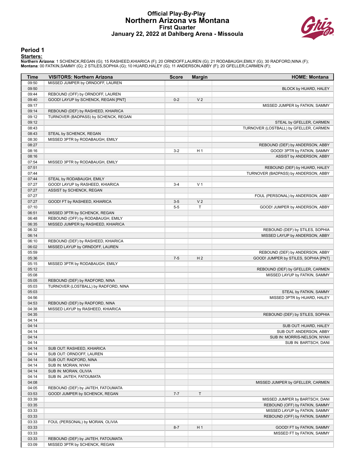#### **Official Play-By-Play Northern Arizona vs Montana First Quarter January 22, 2022 at Dahlberg Arena - Missoula**



#### **Period 1**

#### **Starters:**

Northern Arizona: 1 SCHENCK,REGAN (G); 15 RASHEED,KHIARICA (F); 20 ORNDOFF,LAUREN (G); 21 RODABAUGH,EMILY (G); 30 RADFORD,NINA (F);<br>Montana: 00 FATKIN,SAMMY (G); 2 STILES,SOPHIA (G); 10 HUARD,HALEY (G); 11 ANDERSON,ABBY (F

| Time           | <b>VISITORS: Northern Arizona</b>    | <b>Score</b> | <b>Margin</b>  | <b>HOME: Montana</b>                                              |
|----------------|--------------------------------------|--------------|----------------|-------------------------------------------------------------------|
| 09:50          | MISSED JUMPER by ORNDOFF, LAUREN     |              |                |                                                                   |
| 09:50          |                                      |              |                | BLOCK by HUARD, HALEY                                             |
| 09:44          | REBOUND (OFF) by ORNDOFF, LAUREN     |              |                |                                                                   |
| 09:40          | GOOD! LAYUP by SCHENCK, REGAN [PNT]  | $0 - 2$      | V <sub>2</sub> |                                                                   |
| 09:17          |                                      |              |                | MISSED JUMPER by FATKIN, SAMMY                                    |
| 09:14          | REBOUND (DEF) by RASHEED, KHIARICA   |              |                |                                                                   |
| 09:12          | TURNOVER (BADPASS) by SCHENCK, REGAN |              |                |                                                                   |
| 09:12          |                                      |              |                | STEAL by GFELLER, CARMEN                                          |
| 08:43<br>08:43 | STEAL by SCHENCK, REGAN              |              |                | TURNOVER (LOSTBALL) by GFELLER, CARMEN                            |
| 08:30          | MISSED 3PTR by RODABAUGH, EMILY      |              |                |                                                                   |
| 08:27          |                                      |              |                | REBOUND (DEF) by ANDERSON, ABBY                                   |
| 08:16          |                                      | $3-2$        | H <sub>1</sub> | GOOD! 3PTR by FATKIN, SAMMY                                       |
| 08:16          |                                      |              |                | ASSIST by ANDERSON, ABBY                                          |
| 07:54          | MISSED 3PTR by RODABAUGH, EMILY      |              |                |                                                                   |
| 07:51          |                                      |              |                | REBOUND (DEF) by HUARD, HALEY                                     |
| 07:44          |                                      |              |                | TURNOVER (BADPASS) by ANDERSON, ABBY                              |
| 07:44          | STEAL by RODABAUGH, EMILY            |              |                |                                                                   |
| 07:27          | GOOD! LAYUP by RASHEED, KHIARICA     | $3 - 4$      | V <sub>1</sub> |                                                                   |
| 07:27          | ASSIST by SCHENCK, REGAN             |              |                |                                                                   |
| 07:27          |                                      |              |                | FOUL (PERSONAL) by ANDERSON, ABBY                                 |
| 07:27          | GOOD! FT by RASHEED, KHIARICA        | $3-5$        | V <sub>2</sub> |                                                                   |
| 07:10          |                                      | $5-5$        | T              | GOOD! JUMPER by ANDERSON, ABBY                                    |
| 06:51          | MISSED 3PTR by SCHENCK, REGAN        |              |                |                                                                   |
| 06:48          | REBOUND (OFF) by RODABAUGH, EMILY    |              |                |                                                                   |
| 06:35<br>06:32 | MISSED JUMPER by RASHEED, KHIARICA   |              |                |                                                                   |
| 06:14          |                                      |              |                | REBOUND (DEF) by STILES, SOPHIA<br>MISSED LAYUP by ANDERSON, ABBY |
| 06:10          | REBOUND (DEF) by RASHEED, KHIARICA   |              |                |                                                                   |
| 06:02          | MISSED LAYUP by ORNDOFF, LAUREN      |              |                |                                                                   |
| 05:59          |                                      |              |                | REBOUND (DEF) by ANDERSON, ABBY                                   |
| 05:36          |                                      | $7 - 5$      | H <sub>2</sub> | GOOD! JUMPER by STILES, SOPHIA [PNT]                              |
| 05:15          | MISSED 3PTR by RODABAUGH, EMILY      |              |                |                                                                   |
| 05:12          |                                      |              |                | REBOUND (DEF) by GFELLER, CARMEN                                  |
| 05:08          |                                      |              |                | MISSED LAYUP by FATKIN, SAMMY                                     |
| 05:05          | REBOUND (DEF) by RADFORD, NINA       |              |                |                                                                   |
| 05:03          | TURNOVER (LOSTBALL) by RADFORD, NINA |              |                |                                                                   |
| 05:03          |                                      |              |                | STEAL by FATKIN, SAMMY                                            |
| 04:56          |                                      |              |                | MISSED 3PTR by HUARD, HALEY                                       |
| 04:53          | REBOUND (DEF) by RADFORD, NINA       |              |                |                                                                   |
| 04:38          | MISSED LAYUP by RASHEED, KHIARICA    |              |                |                                                                   |
| 04:35<br>04:14 |                                      |              |                | REBOUND (DEF) by STILES, SOPHIA                                   |
| 04:14          |                                      |              |                | SUB OUT: HUARD, HALEY                                             |
| 04:14          |                                      |              |                | SUB OUT: ANDERSON, ABBY                                           |
| 04:14          |                                      |              |                | SUB IN: MORRIS-NELSON, NYAH                                       |
| 04:14          |                                      |              |                | SUB IN: BARTSCH, DANI                                             |
| 04:14          | SUB OUT: RASHEED, KHIARICA           |              |                |                                                                   |
| 04:14          | SUB OUT: ORNDOFF, LAUREN             |              |                |                                                                   |
| 04:14          | SUB OUT: RADFORD, NINA               |              |                |                                                                   |
| 04:14          | SUB IN: MORAN, NYAH                  |              |                |                                                                   |
| 04:14          | SUB IN: MORAN, OLIVIA                |              |                |                                                                   |
| 04:14          | SUB IN: JAITEH, FATOUMATA            |              |                |                                                                   |
| 04:08          |                                      |              |                | MISSED JUMPER by GFELLER, CARMEN                                  |
| 04:05          | REBOUND (DEF) by JAITEH, FATOUMATA   |              |                |                                                                   |
| 03:53          | GOOD! JUMPER by SCHENCK, REGAN       | $7 - 7$      | T              |                                                                   |
| 03:39          |                                      |              |                | MISSED JUMPER by BARTSCH, DANI                                    |
| 03:35          |                                      |              |                | REBOUND (OFF) by FATKIN, SAMMY                                    |
| 03:33          |                                      |              |                | MISSED LAYUP by FATKIN, SAMMY                                     |
| 03:33          | FOUL (PERSONAL) by MORAN, OLIVIA     |              |                | REBOUND (OFF) by FATKIN, SAMMY                                    |
| 03:33<br>03:33 |                                      | $8 - 7$      | H <sub>1</sub> | GOOD! FT by FATKIN, SAMMY                                         |
| 03:33          |                                      |              |                | MISSED FT by FATKIN, SAMMY                                        |
| 03:33          | REBOUND (DEF) by JAITEH, FATOUMATA   |              |                |                                                                   |
| 03:09          | MISSED 3PTR by SCHENCK, REGAN        |              |                |                                                                   |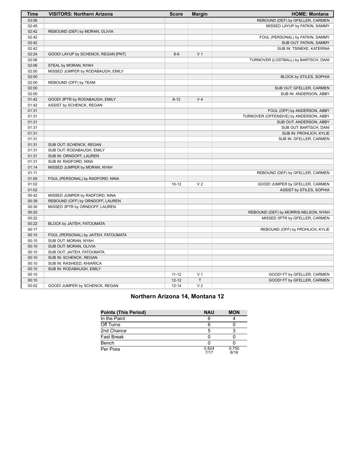| <b>Time</b> | <b>VISITORS: Northern Arizona</b>    | <b>Score</b> | <b>Margin</b>  | <b>HOME: Montana</b>                   |
|-------------|--------------------------------------|--------------|----------------|----------------------------------------|
| 03:06       |                                      |              |                | REBOUND (DEF) by GFELLER, CARMEN       |
| 02:45       |                                      |              |                | MISSED LAYUP by FATKIN, SAMMY          |
| 02:42       | REBOUND (DEF) by MORAN, OLIVIA       |              |                |                                        |
| 02:42       |                                      |              |                | FOUL (PERSONAL) by FATKIN, SAMMY       |
| 02:42       |                                      |              |                | SUB OUT: FATKIN, SAMMY                 |
| 02:42       |                                      |              |                | SUB IN: TSINEKE, KATERINA              |
| 02:24       | GOOD! LAYUP by SCHENCK, REGAN [PNT]  | $8-9$        | V <sub>1</sub> |                                        |
| 02:06       |                                      |              |                | TURNOVER (LOSTBALL) by BARTSCH, DANI   |
| 02:06       | STEAL by MORAN, NYAH                 |              |                |                                        |
| 02:00       | MISSED JUMPER by RODABAUGH, EMILY    |              |                |                                        |
| 02:00       |                                      |              |                | BLOCK by STILES, SOPHIA                |
| 02:00       | REBOUND (OFF) by TEAM                |              |                |                                        |
| 02:00       |                                      |              |                | SUB OUT: GFELLER, CARMEN               |
| 02:00       |                                      |              |                | SUB IN: ANDERSON, ABBY                 |
| 01:42       | GOOD! 3PTR by RODABAUGH, EMILY       | $8 - 12$     | V <sub>4</sub> |                                        |
| 01:42       | ASSIST by SCHENCK, REGAN             |              |                |                                        |
| 01:31       |                                      |              |                | FOUL (OFF) by ANDERSON, ABBY           |
| 01:31       |                                      |              |                | TURNOVER (OFFENSIVE) by ANDERSON, ABBY |
| 01:31       |                                      |              |                | SUB OUT: ANDERSON, ABBY                |
| 01:31       |                                      |              |                | SUB OUT: BARTSCH, DANI                 |
| 01:31       |                                      |              |                | SUB IN: FROHLICH, KYLIE                |
| 01:31       |                                      |              |                | SUB IN: GFELLER, CARMEN                |
| 01:31       | SUB OUT: SCHENCK, REGAN              |              |                |                                        |
| 01:31       | SUB OUT: RODABAUGH, EMILY            |              |                |                                        |
| 01:31       | SUB IN: ORNDOFF, LAUREN              |              |                |                                        |
| 01:31       | SUB IN: RADFORD, NINA                |              |                |                                        |
| 01:14       | MISSED JUMPER by MORAN, NYAH         |              |                |                                        |
| 01:11       |                                      |              |                | REBOUND (DEF) by GFELLER, CARMEN       |
| 01:05       | FOUL (PERSONAL) by RADFORD, NINA     |              |                |                                        |
| 01:02       |                                      | $10 - 12$    | V <sub>2</sub> | GOOD! JUMPER by GFELLER, CARMEN        |
| 01:02       |                                      |              |                | ASSIST by STILES, SOPHIA               |
| 00:42       | MISSED JUMPER by RADFORD, NINA       |              |                |                                        |
| 00:39       | REBOUND (OFF) by ORNDOFF, LAUREN     |              |                |                                        |
| 00:30       | MISSED 3PTR by ORNDOFF, LAUREN       |              |                |                                        |
| 00:25       |                                      |              |                | REBOUND (DEF) by MORRIS-NELSON, NYAH   |
| 00:22       |                                      |              |                | MISSED 3PTR by GFELLER, CARMEN         |
| 00:22       | BLOCK by JAITEH, FATOUMATA           |              |                |                                        |
| 00:17       |                                      |              |                | REBOUND (OFF) by FROHLICH, KYLIE       |
| 00:10       | FOUL (PERSONAL) by JAITEH, FATOUMATA |              |                |                                        |
| 00:10       | SUB OUT: MORAN, NYAH                 |              |                |                                        |
| 00:10       | SUB OUT: MORAN, OLIVIA               |              |                |                                        |
| 00:10       | SUB OUT: JAITEH, FATOUMATA           |              |                |                                        |
| 00:10       | SUB IN: SCHENCK, REGAN               |              |                |                                        |
| 00:10       | SUB IN: RASHEED, KHIARICA            |              |                |                                        |
| 00:10       | SUB IN: RODABAUGH, EMILY             |              |                |                                        |
| 00:10       |                                      | $11 - 12$    | V <sub>1</sub> | GOOD! FT by GFELLER, CARMEN            |
| 00:10       |                                      | $12 - 12$    | T.             | GOOD! FT by GFELLER, CARMEN            |
| 00:02       | GOOD! JUMPER by SCHENCK, REGAN       | $12 - 14$    | V <sub>2</sub> |                                        |

## **Northern Arizona 14, Montana 12**

| <b>Points (This Period)</b> | <b>NAU</b>    | <b>MON</b>    |
|-----------------------------|---------------|---------------|
| In the Paint                |               |               |
| Off Turns                   |               |               |
| 2nd Chance                  |               |               |
| Fast Break                  |               |               |
| Bench                       |               |               |
| Per Poss                    | 0.824<br>7/17 | 0.750<br>6/16 |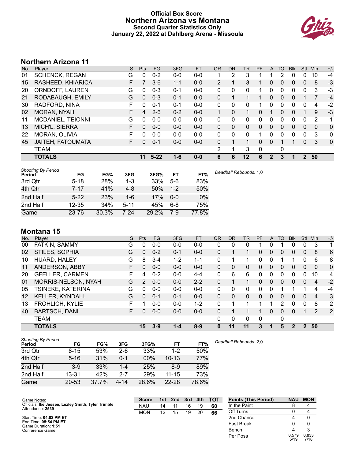## **Official Box Score Northern Arizona vs Montana Second Quarter Statistics Only January 22, 2022 at Dahlberg Arena - Missoula**



# **Northern Arizona 11**

| No. | Plaver                | S | <b>Pts</b> | <b>FG</b> | 3FG     | <b>FT</b> | <b>OR</b>      | <b>DR</b> | TR          | <b>PF</b> | A            | TO | <b>Blk</b> | Stl      | Min | $+/-$ |
|-----|-----------------------|---|------------|-----------|---------|-----------|----------------|-----------|-------------|-----------|--------------|----|------------|----------|-----|-------|
| 01  | <b>SCHENCK, REGAN</b> | G | 0          | $0 - 2$   | $0-0$   | $0 - 0$   |                | 2         | 3           |           |              |    | 0          | 0        | 10  | $-4$  |
| 15  | RASHEED, KHIARICA     | F |            | $3-6$     | $1 - 1$ | $0 - 0$   | $\overline{2}$ |           | 3           |           | 0            | 0  | 0          | 0        | 8   | $-3$  |
| 20  | ORNDOFF, LAUREN       | G | 0          | $0 - 3$   | $0 - 1$ | $0 - 0$   | 0              | 0         | 0           |           | 0            | 0  | 0          | 0        | 3   | -3    |
| 21  | RODABAUGH, EMILY      | G | 0          | $0 - 3$   | $0 - 1$ | $0 - 0$   | 0              |           |             |           | 0            | 0  | 0          |          | 7   | $-4$  |
| 30  | RADFORD, NINA         | F | 0          | $0 - 1$   | $0 - 1$ | $0 - 0$   | 0              | 0         | 0           |           | 0            | 0  | 0          | $\Omega$ | 4   | $-2$  |
| 02  | <b>MORAN, NYAH</b>    | F | 4          | $2-6$     | $0 - 2$ | $0 - 0$   |                | 0         |             | 0         |              | 0  | 0          |          | 9   | $-3$  |
| 11  | MCDANIEL, TEIONNI     | G | $\Omega$   | $0 - 0$   | $0 - 0$ | $0 - 0$   | 0              | $\Omega$  | 0           | 0         | $\Omega$     | 0  | 0          | 0        | 2   | -1    |
| 13  | MICH'L, SIERRA        | F | 0          | $0 - 0$   | $0 - 0$ | $0 - 0$   | $\Omega$       | 0         | 0           | $\Omega$  | $\Omega$     | 0  | 0          | 0        | 0   | 0     |
| 22  | MORAN, OLIVIA         | F | 0          | $0 - 0$   | $0 - 0$ | $0 - 0$   | 0              | 0         | 0           |           | 0            | 0  | O          | 0        | 3   | 0     |
| 45  | JAITEH, FATOUMATA     | F | 0          | $0 - 1$   | $0 - 0$ | $0 - 0$   | $\Omega$       |           | $\mathbf 1$ | $\Omega$  | 0            |    |            | $\Omega$ | 3   | 0     |
|     | <b>TEAM</b>           |   |            |           |         |           | 2              | 1         | 3           | 0         |              | 0  |            |          |     |       |
|     | <b>TOTALS</b>         |   | 11         | $5 - 22$  | $1 - 6$ | $0 - 0$   | 6              | 6         | 12          | 6         | $\mathbf{2}$ | 3  |            |          | 50  |       |

| <b>Shooting By Period</b><br>Period | FG        | FG%   | 3FG      | 3FG%  | FT      | FT%   | Deadball Rebounds: 1,0 |
|-------------------------------------|-----------|-------|----------|-------|---------|-------|------------------------|
| 3rd Qtr                             | $5 - 18$  | 28%   | 1-3      | 33%   | $5-6$   | 83%   |                        |
| 4th Qtr                             | $7 - 17$  | 41%   | $4 - 8$  | 50%   | $1-2$   | 50%   |                        |
| 2nd Half                            | $5-22$    | 23%   | 1-6      | 17%   | $0 - 0$ | 0%    |                        |
| 2nd Half                            | $12 - 35$ | 34%   | $5 - 11$ | 45%   | $6 - 8$ | 75%   |                        |
| Game                                | 23-76     | 30.3% | 7-24     | 29.2% | 7-9     | 77.8% |                        |

# **Montana 15**

| No.               | Plaver                 | S  | Pts      | <b>FG</b> | 3FG     | <b>FT</b> | <b>OR</b> | <b>DR</b> | TR          | PF | A            | TO       | <b>Blk</b>   | Stl          | Min            | $+/-$          |
|-------------------|------------------------|----|----------|-----------|---------|-----------|-----------|-----------|-------------|----|--------------|----------|--------------|--------------|----------------|----------------|
| 00                | FATKIN, SAMMY          | G  | 0        | $0-0$     | $0 - 0$ | $0-0$     | 0         | 0         | 0           |    | 0            |          | 0            | 0            | 3              | 1              |
| 02                | STILES, SOPHIA         | G  | $\Omega$ | $0 - 2$   | $0 - 1$ | $0 - 0$   | 0         |           | 1           | 0  | 0            | 0        | 0            | $\mathbf{0}$ | 8              | 6              |
| 10                | HUARD, HALEY           | G  | 8        | $3 - 4$   | $1 - 2$ | $1 - 1$   | 0         | 1         | 1.          | 0  | 0            |          |              | 0            | 6              | 8              |
| 11                | ANDERSON, ABBY         | F. | 0        | $0 - 0$   | $0 - 0$ | $0 - 0$   | 0         | 0         | 0           | 0  | $\Omega$     | 0        | 0            | $\Omega$     | 0              | $\mathbf{0}$   |
| 20                | <b>GFELLER, CARMEN</b> | F  | 4        | $0 - 2$   | $0 - 0$ | $4 - 4$   | 0         | 6         | 6           | 0  | 0            | 0        | 0            | 0            | 10             | 4              |
| 01                | MORRIS-NELSON, NYAH    | G  | 2        | $0 - 0$   | $0 - 0$ | $2 - 2$   | 0         | 1         | $\mathbf 1$ | 0  | $\mathbf{0}$ | $\Omega$ | 0            | $\Omega$     | 4              | $-2$           |
| 05                | TSINEKE, KATERINA      | G  | 0        | $0 - 0$   | $0 - 0$ | $0-0$     | $\Omega$  | 0         | 0           | 0  | 0            |          |              |              | 4              | $-4$           |
| $12 \overline{ }$ | <b>KELLER, KYNDALL</b> | G  | $\Omega$ | $0 - 1$   | $0 - 1$ | $0 - 0$   | 0         | 0         | 0           | 0  | $\Omega$     | $\Omega$ | 0            | $\Omega$     | $\overline{4}$ | 3              |
| 13                | <b>FROHLICH, KYLIE</b> | F  |          | $0 - 0$   | $0 - 0$ | $1 - 2$   | 0         | 4         | 1           |    |              | 2        | 0            | 0            | 8              | $\overline{2}$ |
| 40                | <b>BARTSCH, DANI</b>   | F  | 0        | $0 - 0$   | $0 - 0$ | $0 - 0$   | $\Omega$  |           | 1           |    | 0            | $\Omega$ | 0            |              | 2              | 2              |
|                   | <b>TEAM</b>            |    |          |           |         |           | $\Omega$  | 0         | 0           | 0  |              | 0        |              |              |                |                |
|                   | <b>TOTALS</b>          |    | 15       | $3-9$     | $1 - 4$ | $8 - 9$   | 0         | 11        | 11          | 3  |              | 5        | $\mathbf{c}$ | 2            | 50             |                |

| <b>Shooting By Period</b><br>Period | FG        | FG%   | 3FG     | 3FG%  | FT        | FT%   | Dea |
|-------------------------------------|-----------|-------|---------|-------|-----------|-------|-----|
| 3rd Qtr                             | $8 - 15$  | 53%   | $2-6$   | 33%   | $1 - 2$   | 50%   |     |
| 4th Qtr                             | $5 - 16$  | 31%   | $0 - 1$ | 00%   | $10 - 13$ | 77%   |     |
| 2nd Half                            | $3-9$     | 33%   | 1-4     | 25%   | $8-9$     | 89%   |     |
| 2nd Half                            | $13 - 31$ | 42%   | $2 - 7$ | 29%   | $11 - 15$ | 73%   |     |
| Game                                | $20 - 53$ | 37.7% | 4-14    | 28.6% | $22 - 28$ | 78.6% |     |

*Deadball Rebounds:* 2,0

| Game Notes:                                                            | <b>Score</b> | 1st. | 2nd | 3rd | 4th | <b>TOT</b> | <b>Points (This Period)</b> | <b>NAU</b>    | <b>MON</b>    |
|------------------------------------------------------------------------|--------------|------|-----|-----|-----|------------|-----------------------------|---------------|---------------|
| Officials: Ike Jessee, Lezley Smith, Tyler Trimble<br>Attendance: 2539 | NAU          | 14   |     | 16  | 19  | 60         | In the Paint                |               |               |
|                                                                        | <b>MON</b>   | 12   | 15  | 19  | 20  | 66         | Off Turns                   |               |               |
| Start Time: 04:02 PM ET                                                |              |      |     |     |     |            | 2nd Chance                  |               |               |
| End Time: 05:54 PM ET<br>Game Duration: 1:51                           |              |      |     |     |     |            | <b>Fast Break</b>           |               |               |
| Conference Game;                                                       |              |      |     |     |     |            | Bench                       |               |               |
|                                                                        |              |      |     |     |     |            | Per Poss                    | 0.579<br>5/19 | 0.833<br>7/18 |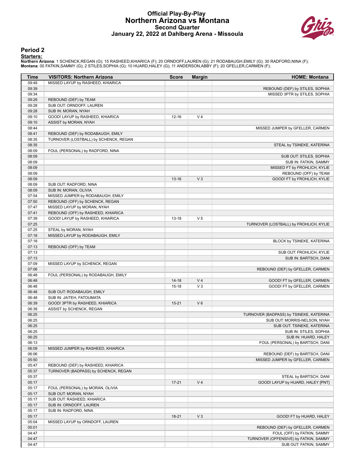#### **Official Play-By-Play Northern Arizona vs Montana Second Quarter January 22, 2022 at Dahlberg Arena - Missoula**



#### **Period 2**

#### **Starters:**

Northern Arizona: 1 SCHENCK,REGAN (G); 15 RASHEED,KHIARICA (F); 20 ORNDOFF,LAUREN (G); 21 RODABAUGH,EMILY (G); 30 RADFORD,NINA (F);<br>Montana: 00 FATKIN,SAMMY (G); 2 STILES,SOPHIA (G); 10 HUARD,HALEY (G); 11 ANDERSON,ABBY (F

| Time           | <b>VISITORS: Northern Arizona</b>     | <b>Score</b> | <b>Margin</b>  | <b>HOME: Montana</b>                              |
|----------------|---------------------------------------|--------------|----------------|---------------------------------------------------|
| 09:49          | MISSED LAYUP by RASHEED, KHIARICA     |              |                |                                                   |
| 09:39          |                                       |              |                | REBOUND (DEF) by STILES, SOPHIA                   |
| 09:34          |                                       |              |                | MISSED 3PTR by STILES, SOPHIA                     |
| 09:29          | REBOUND (DEF) by TEAM                 |              |                |                                                   |
| 09:28          | SUB OUT: ORNDOFF, LAUREN              |              |                |                                                   |
| 09:28          | SUB IN: MORAN, NYAH                   |              |                |                                                   |
| 09:10          | GOOD! LAYUP by RASHEED, KHIARICA      | $12 - 16$    | V <sub>4</sub> |                                                   |
| 09:10          | ASSIST by MORAN, NYAH                 |              |                |                                                   |
| 08:44          |                                       |              |                | MISSED JUMPER by GFELLER, CARMEN                  |
| 08:41          | REBOUND (DEF) by RODABAUGH, EMILY     |              |                |                                                   |
| 08:35          | TURNOVER (LOSTBALL) by SCHENCK, REGAN |              |                |                                                   |
| 08:35          |                                       |              |                | STEAL by TSINEKE, KATERINA                        |
| 08:09          | FOUL (PERSONAL) by RADFORD, NINA      |              |                |                                                   |
| 08:09          |                                       |              |                | SUB OUT: STILES, SOPHIA                           |
| 08:09          |                                       |              |                | SUB IN: FATKIN, SAMMY                             |
| 08:09          |                                       |              |                | MISSED FT by FROHLICH, KYLIE                      |
| 08:09          |                                       |              |                | REBOUND (OFF) by TEAM                             |
| 08:09          |                                       | $13 - 16$    | $V_3$          | GOOD! FT by FROHLICH, KYLIE                       |
| 08:09          | SUB OUT: RADFORD, NINA                |              |                |                                                   |
| 08:09          | SUB IN: MORAN, OLIVIA                 |              |                |                                                   |
| 07:54          | MISSED JUMPER by RODABAUGH, EMILY     |              |                |                                                   |
| 07:50          | REBOUND (OFF) by SCHENCK, REGAN       |              |                |                                                   |
| 07:47          | MISSED LAYUP by MORAN, NYAH           |              |                |                                                   |
| 07:41          | REBOUND (OFF) by RASHEED, KHIARICA    |              |                |                                                   |
| 07:39          | GOOD! LAYUP by RASHEED, KHIARICA      | $13 - 18$    | V <sub>5</sub> |                                                   |
| 07:25          |                                       |              |                | TURNOVER (LOSTBALL) by FROHLICH, KYLIE            |
| 07:25          | STEAL by MORAN, NYAH                  |              |                |                                                   |
| 07:18          | MISSED LAYUP by RODABAUGH, EMILY      |              |                |                                                   |
| 07:18          |                                       |              |                | BLOCK by TSINEKE, KATERINA                        |
| 07:13<br>07:13 | REBOUND (OFF) by TEAM                 |              |                |                                                   |
| 07:13          |                                       |              |                | SUB OUT: FROHLICH, KYLIE<br>SUB IN: BARTSCH, DANI |
| 07:09          | MISSED LAYUP by SCHENCK, REGAN        |              |                |                                                   |
| 07:06          |                                       |              |                | REBOUND (DEF) by GFELLER, CARMEN                  |
| 06:48          | FOUL (PERSONAL) by RODABAUGH, EMILY   |              |                |                                                   |
| 06:48          |                                       | $14 - 18$    | V <sub>4</sub> | GOOD! FT by GFELLER, CARMEN                       |
| 06:48          |                                       | $15 - 18$    | V <sub>3</sub> | GOOD! FT by GFELLER, CARMEN                       |
| 06:48          | SUB OUT: RODABAUGH, EMILY             |              |                |                                                   |
| 06:48          | SUB IN: JAITEH, FATOUMATA             |              |                |                                                   |
| 06:39          | GOOD! 3PTR by RASHEED, KHIARICA       | $15 - 21$    | $V_6$          |                                                   |
| 06:39          | ASSIST by SCHENCK, REGAN              |              |                |                                                   |
| 06:25          |                                       |              |                | TURNOVER (BADPASS) by TSINEKE, KATERINA           |
| 06:25          |                                       |              |                | SUB OUT: MORRIS-NELSON, NYAH                      |
| 06:25          |                                       |              |                | SUB OUT: TSINEKE, KATERINA                        |
| 06:25          |                                       |              |                | SUB IN: STILES, SOPHIA                            |
| 06:25          |                                       |              |                | SUB IN: HUARD, HALEY                              |
| 06:13          |                                       |              |                | FOUL (PERSONAL) by BARTSCH, DANI                  |
| 06:09          | MISSED JUMPER by RASHEED, KHIARICA    |              |                |                                                   |
| 06:06          |                                       |              |                | REBOUND (DEF) by BARTSCH, DANI                    |
| 05:50          |                                       |              |                | MISSED JUMPER by GFELLER, CARMEN                  |
| 05:47          | REBOUND (DEF) by RASHEED, KHIARICA    |              |                |                                                   |
| 05:37          | TURNOVER (BADPASS) by SCHENCK, REGAN  |              |                |                                                   |
| 05:37          |                                       |              |                | STEAL by BARTSCH, DANI                            |
| 05:17          |                                       | $17 - 21$    | V <sub>4</sub> | GOOD! LAYUP by HUARD, HALEY [PNT]                 |
| 05:17          | FOUL (PERSONAL) by MORAN, OLIVIA      |              |                |                                                   |
| 05:17          | SUB OUT: MORAN, NYAH                  |              |                |                                                   |
| 05:17          | SUB OUT: RASHEED, KHIARICA            |              |                |                                                   |
| 05:17          | SUB IN: ORNDOFF, LAUREN               |              |                |                                                   |
| 05:17          | SUB IN: RADFORD, NINA                 |              |                |                                                   |
| 05:17          |                                       | $18-21$      | $V_3$          | GOOD! FT by HUARD, HALEY                          |
| 05:04          | MISSED LAYUP by ORNDOFF, LAUREN       |              |                |                                                   |
| 05:01          |                                       |              |                | REBOUND (DEF) by GFELLER, CARMEN                  |
| 04:47          |                                       |              |                | FOUL (OFF) by FATKIN, SAMMY                       |
| 04:47          |                                       |              |                | TURNOVER (OFFENSIVE) by FATKIN, SAMMY             |
| 04:47          |                                       |              |                | SUB OUT: FATKIN, SAMMY                            |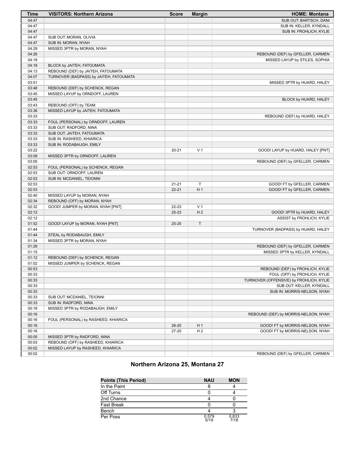| Time           | <b>VISITORS: Northern Arizona</b>                   | <b>Score</b> | <b>Margin</b>  | <b>HOME: Montana</b>                                              |
|----------------|-----------------------------------------------------|--------------|----------------|-------------------------------------------------------------------|
| 04:47          |                                                     |              |                | SUB OUT: BARTSCH, DANI                                            |
| 04:47          |                                                     |              |                | SUB IN: KELLER, KYNDALL                                           |
| 04:47          |                                                     |              |                | SUB IN: FROHLICH, KYLIE                                           |
| 04:47          | SUB OUT: MORAN, OLIVIA                              |              |                |                                                                   |
| 04:47          | SUB IN: MORAN, NYAH                                 |              |                |                                                                   |
| 04:29          | MISSED 3PTR by MORAN, NYAH                          |              |                |                                                                   |
| 04:26          |                                                     |              |                | REBOUND (DEF) by GFELLER, CARMEN                                  |
| 04:18          |                                                     |              |                | MISSED LAYUP by STILES, SOPHIA                                    |
| 04:18          | BLOCK by JAITEH, FATOUMATA                          |              |                |                                                                   |
| 04:13          | REBOUND (DEF) by JAITEH, FATOUMATA                  |              |                |                                                                   |
| 04:07          | TURNOVER (BADPASS) by JAITEH, FATOUMATA             |              |                |                                                                   |
| 03:51          |                                                     |              |                | MISSED 3PTR by HUARD, HALEY                                       |
| 03:48          | REBOUND (DEF) by SCHENCK, REGAN                     |              |                |                                                                   |
| 03:45          | MISSED LAYUP by ORNDOFF, LAUREN                     |              |                |                                                                   |
| 03:45          |                                                     |              |                | BLOCK by HUARD, HALEY                                             |
| 03:43          | REBOUND (OFF) by TEAM                               |              |                |                                                                   |
| 03:36          | MISSED LAYUP by JAITEH, FATOUMATA                   |              |                |                                                                   |
| 03:33          |                                                     |              |                | REBOUND (DEF) by HUARD, HALEY                                     |
| 03:33          | FOUL (PERSONAL) by ORNDOFF, LAUREN                  |              |                |                                                                   |
| 03:33          | SUB OUT: RADFORD, NINA                              |              |                |                                                                   |
| 03:33          | SUB OUT: JAITEH, FATOUMATA                          |              |                |                                                                   |
| 03:33          | SUB IN: RASHEED, KHIARICA                           |              |                |                                                                   |
| 03:33          | SUB IN: RODABAUGH, EMILY                            |              |                |                                                                   |
| 03:22          |                                                     | $20 - 21$    | V <sub>1</sub> | GOOD! LAYUP by HUARD, HALEY [PNT]                                 |
| 03:09          | MISSED 3PTR by ORNDOFF, LAUREN                      |              |                |                                                                   |
| 03:05          |                                                     |              |                | REBOUND (DEF) by GFELLER, CARMEN                                  |
| 02:53          | FOUL (PERSONAL) by SCHENCK, REGAN                   |              |                |                                                                   |
| 02:53          | SUB OUT: ORNDOFF, LAUREN                            |              |                |                                                                   |
| 02:53          | SUB IN: MCDANIEL, TEIONNI                           |              |                |                                                                   |
| 02:53          |                                                     | $21 - 21$    | $\mathsf T$    | GOOD! FT by GFELLER, CARMEN                                       |
| 02:53          |                                                     | $22 - 21$    | H <sub>1</sub> | GOOD! FT by GFELLER, CARMEN                                       |
| 02:40          | MISSED LAYUP by MORAN, NYAH                         |              |                |                                                                   |
| 02:34          | REBOUND (OFF) by MORAN, NYAH                        |              |                |                                                                   |
| 02:32          | GOOD! JUMPER by MORAN, NYAH [PNT]                   | 22-23        | V <sub>1</sub> |                                                                   |
| 02:12          |                                                     | $25 - 23$    | H <sub>2</sub> | GOOD! 3PTR by HUARD, HALEY                                        |
| 02:12          |                                                     |              |                | <b>ASSIST by FROHLICH, KYLIE</b>                                  |
| 01:52          | GOOD! LAYUP by MORAN, NYAH [PNT]                    | $25 - 25$    | T              |                                                                   |
| 01:44          |                                                     |              |                | TURNOVER (BADPASS) by HUARD, HALEY                                |
| 01:44          | STEAL by RODABAUGH, EMILY                           |              |                |                                                                   |
| 01:34          | MISSED 3PTR by MORAN, NYAH                          |              |                |                                                                   |
| 01:29          |                                                     |              |                | REBOUND (DEF) by GFELLER, CARMEN                                  |
| 01:15          |                                                     |              |                | MISSED 3PTR by KELLER, KYNDALL                                    |
| 01:12<br>01:02 | REBOUND (DEF) by SCHENCK, REGAN                     |              |                |                                                                   |
| 00:53          | MISSED JUMPER by SCHENCK, REGAN                     |              |                |                                                                   |
|                |                                                     |              |                | REBOUND (DEF) by FROHLICH, KYLIE<br>FOUL (OFF) by FROHLICH, KYLIE |
| 00:33<br>00:33 |                                                     |              |                | TURNOVER (OFFENSIVE) by FROHLICH, KYLIE                           |
|                |                                                     |              |                | SUB OUT: KELLER, KYNDALL                                          |
| 00:33<br>00:33 |                                                     |              |                |                                                                   |
|                |                                                     |              |                | SUB IN: MORRIS-NELSON, NYAH                                       |
| 00:33<br>00:33 | SUB OUT: MCDANIEL, TEIONNI<br>SUB IN: RADFORD, NINA |              |                |                                                                   |
| 00:18          | MISSED 3PTR by RODABAUGH, EMILY                     |              |                |                                                                   |
| 00:16          |                                                     |              |                | REBOUND (DEF) by MORRIS-NELSON, NYAH                              |
| 00:16          | FOUL (PERSONAL) by RASHEED, KHIARICA                |              |                |                                                                   |
| 00:16          |                                                     |              | H <sub>1</sub> |                                                                   |
|                |                                                     | $26 - 25$    | H <sub>2</sub> | GOOD! FT by MORRIS-NELSON, NYAH                                   |
| 00:16<br>00:05 | MISSED 3PTR by RADFORD, NINA                        | 27-25        |                | GOOD! FT by MORRIS-NELSON, NYAH                                   |
| 00:03          | REBOUND (OFF) by RASHEED, KHIARICA                  |              |                |                                                                   |
| 00:02          | MISSED LAYUP by RASHEED, KHIARICA                   |              |                |                                                                   |
| 00:02          |                                                     |              |                | REBOUND (DEF) by GFELLER, CARMEN                                  |
|                |                                                     |              |                |                                                                   |

## **Northern Arizona 25, Montana 27**

| <b>Points (This Period)</b> | <b>NAU</b>    | <b>MON</b>    |
|-----------------------------|---------------|---------------|
| In the Paint                |               |               |
| Off Turns                   |               |               |
| 2nd Chance                  |               |               |
| <b>Fast Break</b>           |               |               |
| Bench                       |               |               |
| Per Poss                    | 0.579<br>5/19 | 0.833<br>7/18 |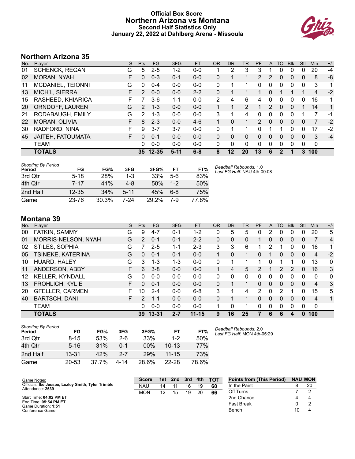## **Official Box Score Northern Arizona vs Montana Second Half Statistics Only January 22, 2022 at Dahlberg Arena - Missoula**



## **Northern Arizona 35**

| No. | Plaver                | S  | <b>Pts</b> | <b>FG</b> | 3FG      | <b>FT</b> | <b>OR</b> | <b>DR</b> | TR             | PF            | A | TO            | <b>B</b> lk | Stl | <b>Min</b> | $+/-$        |
|-----|-----------------------|----|------------|-----------|----------|-----------|-----------|-----------|----------------|---------------|---|---------------|-------------|-----|------------|--------------|
| 01  | <b>SCHENCK, REGAN</b> | G  | 5          | $2 - 5$   | 1-2      | $0-0$     |           | 2         | 3              | 3             |   | 0             | 0           | 0   | 20         | $-4$         |
| 02  | MORAN, NYAH           | F  | $\Omega$   | $0 - 3$   | 0-1      | $0 - 0$   | 0         |           |                | 2             | 2 | 0             | 0           | 0   | 8          | -8           |
| 11  | MCDANIEL, TEIONNI     | G  | 0          | $0 - 4$   | $0 - 0$  | $0 - 0$   | 0         |           |                | 0             | 0 | 0             | 0           | 0   | 3          | 1            |
| 13  | MICH'L, SIERRA        | F  | 2          | $0 - 0$   | $0 - 0$  | $2 - 2$   | 0         |           |                |               | 0 |               |             | 1   | 4          | $-2$         |
| 15  | RASHEED, KHIARICA     | F  |            | 3-6       | $1 - 1$  | $0 - 0$   | 2         | 4         | 6              | 4             | 0 | 0             | 0           | 0   | 16         | 1            |
| 20  | ORNDOFF, LAUREN       | G  | 2          | $1 - 3$   | $0 - 0$  | $0 - 0$   |           | 1         | $\overline{2}$ | 1             | 2 | $\Omega$      | 0           | 1   | 14         | $\mathbf{1}$ |
| 21  | RODABAUGH, EMILY      | G  | 2          | 1-3       | $0 - 0$  | $0 - 0$   | 3         | 1         | 4              | 0             | 0 | 0             | 0           | 1   | 7          | -1           |
| 22  | MORAN, OLIVIA         | F  | 8          | $2 - 3$   | $0 - 0$  | $4-6$     | 1         | $\Omega$  | 1              | $\mathcal{P}$ | 0 | $\Omega$      | 0           | 0   | 7          | $-2$         |
| 30  | RADFORD, NINA         | E  | 9          | $3 - 7$   | $3 - 7$  | $0 - 0$   | 0         | 1         | 1              | 0             |   |               | 0           | 0   | 17         | $-2$         |
| 45  | JAITEH, FATOUMATA     | F. | 0          | $0 - 1$   | $0 - 0$  | $0 - 0$   | 0         | $\Omega$  | 0              | 0             | 0 | $\Omega$      | $\Omega$    | 0   | 3          | $-4$         |
|     | <b>TEAM</b>           |    | 0          | $0 - 0$   | $0 - 0$  | $0 - 0$   | 0         | 0         | $\Omega$       | $\Omega$      | 0 | 0             | $\Omega$    | 0   | 0          |              |
|     | <b>TOTALS</b>         |    |            | 35 12-35  | $5 - 11$ | $6 - 8$   | 8         | 12        | 20             | 13            | 6 | $\mathcal{P}$ |             | 3   | 100        |              |

| Shooting By Period<br>Period | FG        | FG%   | 3FG      | 3FG%  | FT      | FT%   | Deadball Rebounds: 1,0<br>Last FG Half: NAU 4th-00:08 |
|------------------------------|-----------|-------|----------|-------|---------|-------|-------------------------------------------------------|
| 3rd Qtr                      | $5 - 18$  | 28%   | $1 - 3$  | 33%   | $5-6$   | 83%   |                                                       |
| 4th Otr                      | 7-17      | 41%   | $4 - 8$  | 50%   | $1 - 2$ | 50%   |                                                       |
| 2nd Half                     | $12 - 35$ | 34%   | $5 - 11$ | 45%   | $6 - 8$ | 75%   |                                                       |
| Game                         | 23-76     | 30.3% | 7-24     | 29.2% | 7-9     | 77.8% |                                                       |

# **Montana 39**

|     | טט שוועווט             |    |               |           |         |           |           |           |    |          |          |          |            |              |                |       |
|-----|------------------------|----|---------------|-----------|---------|-----------|-----------|-----------|----|----------|----------|----------|------------|--------------|----------------|-------|
| No. | Player                 | S  | Pts           | FG.       | 3FG     | <b>FT</b> | <b>OR</b> | <b>DR</b> | TR | PF       | A        | TO       | <b>Blk</b> | Stl          | Min            | $+/-$ |
| 00  | FATKIN, SAMMY          | G  | 9             | 4-7       | 0-1     | $1 - 2$   | 0         | 5         | 5  | 0        | 2        | 0        | 0          | 0            | 20             | 5     |
| 01  | MORRIS-NELSON, NYAH    | G  | 2             | $0 - 1$   | $0 - 1$ | $2 - 2$   | 0         | 0         | 0  |          | 0        | 0        | 0          | $\Omega$     | 7              | 4     |
| 02  | STILES, SOPHIA         | G  |               | $2 - 5$   | $1 - 1$ | $2 - 3$   | 3         | 3         | 6  |          | 2        | 1        | 0          | $\Omega$     | 16             | 1     |
| 05  | TSINEKE, KATERINA      | G  | 0             | $0 - 1$   | $0 - 1$ | $0 - 0$   |           | $\Omega$  | 1  | 0        |          | 0        | 0          | $\Omega$     | 4              | $-2$  |
| 10  | HUARD, HALEY           | G  | 3             | $1 - 3$   | $1 - 3$ | $0 - 0$   | 0         |           |    |          | 0        |          |            | 0            | 13             | 0     |
| 11  | ANDERSON, ABBY         | F. | 6.            | $3 - 8$   | $0 - 0$ | $0 - 0$   |           | 4         | 5  | 2        |          | 2        | 2          | $\Omega$     | 16             | 3     |
| 12  | <b>KELLER, KYNDALL</b> | G  | 0             | $0 - 0$   | $0 - 0$ | $0 - 0$   | 0         | 0         | 0  | 0        | 0        | 0        | 0          | 0            | 0              | 0     |
| 13  | <b>FROHLICH, KYLIE</b> | F  | 0             | $0 - 1$   | $0 - 0$ | $0 - 0$   | 0         | 1         | 1. | $\Omega$ | 0        | 0        | 0          | $\Omega$     | $\overline{4}$ | 3     |
| 20  | <b>GFELLER, CARMEN</b> | F. | 10            | $2 - 4$   | $0 - 0$ | $6 - 8$   | 3         |           | 4  | 2        | 0        | 2        |            | 0            | 15             | 5     |
| 40  | <b>BARTSCH, DANI</b>   | F. | $\mathcal{P}$ | $1 - 1$   | $0 - 0$ | $0 - 0$   | 0         |           |    | $\Omega$ | $\Omega$ | $\Omega$ | $\Omega$   | $\Omega$     | 4              | 1     |
|     | <b>TEAM</b>            |    | 0             | $0 - 0$   | $0 - 0$ | $0 - 0$   |           | 0         | 1. | 0        | 0        | 0        | 0          | $\Omega$     | 0              |       |
|     | <b>TOTALS</b>          |    | 39            | $13 - 31$ | $2 - 7$ | $11 - 15$ | 9         | 16        | 25 |          | 6        | 6        | 4          | $\mathbf{0}$ | 100            |       |
|     |                        |    |               |           |         |           |           |           |    |          |          |          |            |              |                |       |

| <b>Shooting By Period</b><br>Period | FG        | FG%   | 3FG     | 3FG%  | FT        | FT%        |
|-------------------------------------|-----------|-------|---------|-------|-----------|------------|
| 3rd Qtr                             | 8-15      | 53%   | 2-6     | 33%   | $1 - 2$   | 50%        |
| 4th Qtr                             | $5 - 16$  | 31%   | $0 - 1$ | 00%   | $10 - 13$ | <b>77%</b> |
| 2nd Half                            | $13 - 31$ | 42%   | $2 - 7$ | 29%   | $11 - 15$ | 73%        |
| Game                                | 20-53     | 37.7% | 4-14    | 28.6% | $22 - 28$ | 78.6%      |

*Deadball Rebounds:* 2,0 *Last FG Half:* MON 4th-05:29

| Game Notes:                                                            | Score      | 1st             | 2nd | 3rd | 4th | <b>TOT</b> | <b>Points from (This Period)</b> | <b>NAU MON</b> |
|------------------------------------------------------------------------|------------|-----------------|-----|-----|-----|------------|----------------------------------|----------------|
| Officials: Ike Jessee, Lezley Smith, Tyler Trimble<br>Attendance: 2539 | NAL        | 14              |     | 16  | 19  | 60         | In the Paint                     | 20             |
|                                                                        | <b>MON</b> | 12 <sup>2</sup> | 15  | 19  | 20  | 66         | Off Turns                        |                |
| Start Time: 04:02 PM ET                                                |            |                 |     |     |     |            | 2nd Chance                       |                |
| End Time: 05:54 PM ET<br>Game Duration: 1:51                           |            |                 |     |     |     |            | <b>Fast Break</b>                |                |
| Conference Game;                                                       |            |                 |     |     |     |            | Bench                            |                |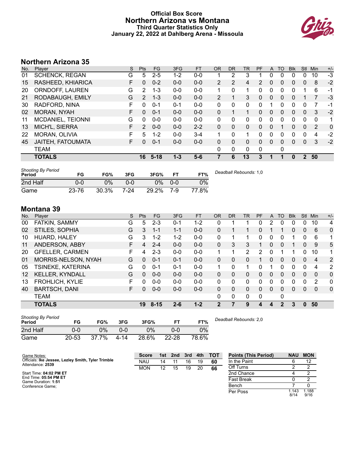## **Official Box Score Northern Arizona vs Montana Third Quarter Statistics Only January 22, 2022 at Dahlberg Arena - Missoula**



# **Northern Arizona 35**

| No. | <b>Plaver</b>         | S  | <b>Pts</b>    | FG       | 3FG     | <b>FT</b> | 0R             | DR           | TR | PF | $\mathsf{A}$ | TO       | <b>B</b> lk | Stl          | Min | $+/-$ |
|-----|-----------------------|----|---------------|----------|---------|-----------|----------------|--------------|----|----|--------------|----------|-------------|--------------|-----|-------|
| 01  | <b>SCHENCK, REGAN</b> | G  | 5             | $2 - 5$  | 1-2     | $0-0$     |                | 2            | 3  |    |              | 0        | 0           | 0            | 10  | -3    |
| 15  | RASHEED, KHIARICA     | F  | 0             | $0 - 2$  | $0 - 0$ | $0 - 0$   | $\overline{2}$ | 2            | 4  | 2  | $\Omega$     | 0        | 0           | 0            | 8   | $-2$  |
| 20  | ORNDOFF, LAUREN       | G  | 2             | $1 - 3$  | $0 - 0$ | $0 - 0$   | 1              | 0            | 1  | 0  | 0            | $\Omega$ | 0           |              | 6   | -1    |
| 21  | RODABAUGH, EMILY      | G  | $\mathcal{P}$ | $1 - 3$  | $0 - 0$ | $0 - 0$   | 2              |              | 3  | 0  | $\Omega$     | 0        | 0           |              | 7   | $-3$  |
| 30  | RADFORD, NINA         | F  | 0             | $0 - 1$  | $0 - 1$ | $0-0$     | 0              | 0            | 0  | 0  |              | 0        | 0           | 0            | 7   | -1    |
| 02  | <b>MORAN, NYAH</b>    | F  | $\Omega$      | $0 - 1$  | $0 - 0$ | $0 - 0$   | $\Omega$       |              |    | 0  | 0            | 0        | 0           | 0            | 3   | $-2$  |
| 11  | MCDANIEL, TEIONNI     | G  | 0             | $0 - 0$  | $0 - 0$ | $0 - 0$   | $\Omega$       | 0            | 0  | 0  | $\Omega$     | 0        | 0           | 0            | 0   | 1     |
| 13  | MICH'L, SIERRA        | F  | 2             | $0 - 0$  | $0 - 0$ | $2 - 2$   | $\Omega$       | 0            | 0  | 0  | $\Omega$     |          | 0           | $\Omega$     | 2   | 0     |
| 22  | MORAN, OLIVIA         | F  | 5             | $1 - 2$  | $0 - 0$ | $3 - 4$   | 1              | 0            | 1  | 0  | $\Omega$     | $\Omega$ | 0           | $\Omega$     | 4   | $-2$  |
| 45  | JAITEH, FATOUMATA     | F. | 0             | $0 - 1$  | $0 - 0$ | $0 - 0$   | $\Omega$       | 0            | 0  | 0  | $\Omega$     | 0        | 0           | $\Omega$     | 3   | $-2$  |
|     | <b>TEAM</b>           |    |               |          |         |           | 0              | $\mathbf{0}$ | 0  | 0  |              | 0        |             |              |     |       |
|     | <b>TOTALS</b>         |    | 16            | $5 - 18$ | $1 - 3$ | $5 - 6$   |                | 6            | 13 | 3  |              |          | 0           | $\mathbf{2}$ | 50  |       |

| <b>Shooting By Period</b><br>Period | FG    | FG%   | 3FG  | 3FG%  | <b>FT</b> | FT%   | Deadball Rebounds: 1,0 |
|-------------------------------------|-------|-------|------|-------|-----------|-------|------------------------|
| 2nd Half                            | 0-0   | 0%    | 0-0  | ገ%    | $0 - 0$   | 0%    |                        |
| Game                                | 23-76 | 30.3% | 7-24 | 29.2% | 7-9       | 77.8% |                        |

## **Montana 39**

| No.     | Plaver                 | S | <b>Pts</b> | <b>FG</b> | 3FG     | <b>FT</b> | <b>OR</b> | D <sub>R</sub> | TR            | PF | A        | TO       | <b>B</b> lk | <b>Stl</b>  | Min            | $+/-$       |
|---------|------------------------|---|------------|-----------|---------|-----------|-----------|----------------|---------------|----|----------|----------|-------------|-------------|----------------|-------------|
| 00      | FATKIN, SAMMY          | G | 5          | $2 - 3$   | $0 - 1$ | $1 - 2$   |           |                |               | 0  | 2        | 0        | 0           | 0           | 10             | 4           |
| 02      | STILES, SOPHIA         | G | 3          | $1 - 1$   | $1 - 1$ | $0 - 0$   | 0         |                |               | 0  |          |          | 0           | 0           | 6              | 0           |
| 10      | HUARD, HALEY           | G | 3          | $1 - 2$   | $1 - 2$ | $0 - 0$   | 0         |                |               | 0  | 0        | 0        |             | 0           | 6              | 1           |
| 11      | ANDERSON, ABBY         | F | 4          | $2 - 4$   | $0 - 0$ | $0 - 0$   | 0         | 3              | 3             |    | $\Omega$ | 0        |             | $\Omega$    | 9              | 5           |
| 20      | <b>GFELLER, CARMEN</b> | F | 4          | $2 - 3$   | $0 - 0$ | $0 - 0$   | 1         | 1              | $\mathcal{P}$ | 2  | $\Omega$ |          |             | $\Omega$    | 10             | 1           |
| 01      | MORRIS-NELSON, NYAH    | G | 0          | $0 - 1$   | $0 - 1$ | $0 - 0$   | $\Omega$  | $\Omega$       | 0             | 1  | $\Omega$ | 0        | 0           | $\Omega$    | $\overline{4}$ | 2           |
| 05      | TSINEKE, KATERINA      | G | 0          | $0 - 1$   | $0 - 1$ | $0 - 0$   |           | $\Omega$       | 1             | 0  |          | 0        | 0           | $\mathbf 0$ | 4              | 2           |
| $12 \,$ | <b>KELLER, KYNDALL</b> | G | 0          | $0 - 0$   | $0 - 0$ | $0 - 0$   | $\Omega$  | $\mathbf{0}$   | 0             | 0  | $\Omega$ | 0        | 0           | $\Omega$    | $\mathbf{0}$   | $\mathbf 0$ |
| 13      | FROHLICH, KYLIE        | F | 0          | $0 - 0$   | $0 - 0$ | $0 - 0$   | 0         | 0              | 0             | 0  |          | 0        | 0           | 0           | 2              | 0           |
| 40      | <b>BARTSCH, DANI</b>   | F | 0          | $0 - 0$   | $0 - 0$ | $0 - 0$   | $\Omega$  | 0              | 0             | 0  | $\Omega$ | $\Omega$ | 0           | $\Omega$    | $\mathbf{0}$   | $\Omega$    |
|         | TEAM                   |   |            |           |         |           | $\Omega$  | 0              | 0             | 0  |          | 0        |             |             |                |             |
|         | <b>TOTALS</b>          |   | 19         | $8 - 15$  | $2 - 6$ | $1 - 2$   | 2         |                | 9             | 4  | 4        | 2        | 3           | $\Omega$    | 50             |             |

| <b>Shooting By Period</b><br>Period | FG        | FG%   | 3FG  | 3FG%  | FТ        | FT%   |
|-------------------------------------|-----------|-------|------|-------|-----------|-------|
| 2nd Half                            | 0-0       | 0%    | ገ-በ  | $0\%$ | ი-ი       | $0\%$ |
| Game                                | $20 - 53$ | 37.7% | 4-14 | 28.6% | $22 - 28$ | 78.6% |

*Deadball Rebounds:* 2,0

| Game Notes:                                        | <b>Score</b> | 1st | 2nd | 3rd | 4th | <b>TOT</b> | <b>Points (This Period)</b> | <b>NAU</b>    | <b>MON</b>    |
|----------------------------------------------------|--------------|-----|-----|-----|-----|------------|-----------------------------|---------------|---------------|
| Officials: Ike Jessee, Lezley Smith, Tyler Trimble | <b>NAU</b>   | 14  |     | 16  | 19  | 60         | In the Paint                |               |               |
| Attendance: 2539                                   | <b>MON</b>   | 12  | 15  | 19  | 20  | 66         | Off Turns                   |               |               |
| Start Time: 04:02 PM ET                            |              |     |     |     |     |            | 2nd Chance                  |               |               |
| End Time: 05:54 PM ET<br>Game Duration: 1:51       |              |     |     |     |     |            | <b>Fast Break</b>           |               |               |
| Conference Game;                                   |              |     |     |     |     |            | Bench                       |               |               |
|                                                    |              |     |     |     |     |            | Per Poss                    | 1.143<br>8/14 | 1.188<br>9/16 |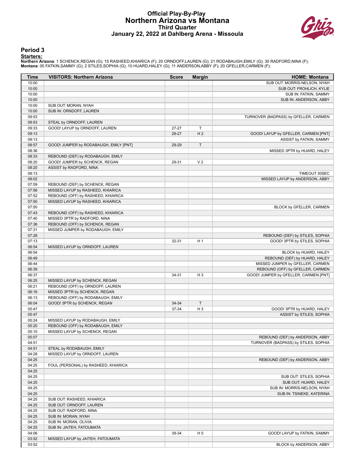#### **Official Play-By-Play Northern Arizona vs Montana Third Quarter January 22, 2022 at Dahlberg Arena - Missoula**



#### **Period 3**

#### **Starters:**

Northern Arizona: 1 SCHENCK,REGAN (G); 15 RASHEED,KHIARICA (F); 20 ORNDOFF,LAUREN (G); 21 RODABAUGH,EMILY (G); 30 RADFORD,NINA (F);<br>Montana: 00 FATKIN,SAMMY (G); 2 STILES,SOPHIA (G); 10 HUARD,HALEY (G); 11 ANDERSON,ABBY (F

| Time           | <b>VISITORS: Northern Arizona</b>                      | <b>Score</b> | <b>Margin</b>  | <b>HOME: Montana</b>                                                      |
|----------------|--------------------------------------------------------|--------------|----------------|---------------------------------------------------------------------------|
| 10:00          |                                                        |              |                | SUB OUT: MORRIS-NELSON, NYAH                                              |
| 10:00          |                                                        |              |                | SUB OUT: FROHLICH, KYLIE                                                  |
| 10:00          |                                                        |              |                | SUB IN: FATKIN, SAMMY                                                     |
| 10:00          |                                                        |              |                | SUB IN: ANDERSON, ABBY                                                    |
| 10:00          | SUB OUT: MORAN, NYAH                                   |              |                |                                                                           |
| 10:00          | SUB IN: ORNDOFF, LAUREN                                |              |                |                                                                           |
| 09:53          |                                                        |              |                | TURNOVER (BADPASS) by GFELLER, CARMEN                                     |
| 09:53          | STEAL by ORNDOFF, LAUREN                               |              |                |                                                                           |
| 09:33          | GOOD! LAYUP by ORNDOFF, LAUREN                         | 27-27        | T              |                                                                           |
| 09:13<br>09:13 |                                                        | 29-27        | H <sub>2</sub> | GOOD! LAYUP by GFELLER, CARMEN [PNT]<br>ASSIST by FATKIN, SAMMY           |
| 08:57          | GOOD! JUMPER by RODABAUGH, EMILY [PNT]                 | 29-29        | T              |                                                                           |
| 08:36          |                                                        |              |                | MISSED 3PTR by HUARD, HALEY                                               |
| 08:33          | REBOUND (DEF) by RODABAUGH, EMILY                      |              |                |                                                                           |
| 08:20          | GOOD! JUMPER by SCHENCK, REGAN                         | 29-31        | V <sub>2</sub> |                                                                           |
| 08:20          | ASSIST by RADFORD, NINA                                |              |                |                                                                           |
| 08:13          |                                                        |              |                | TIMEOUT 30SEC                                                             |
| 08:02          |                                                        |              |                | MISSED LAYUP by ANDERSON, ABBY                                            |
| 07:59          | REBOUND (DEF) by SCHENCK, REGAN                        |              |                |                                                                           |
| 07:56          | MISSED LAYUP by RASHEED, KHIARICA                      |              |                |                                                                           |
| 07:52          | REBOUND (OFF) by RASHEED, KHIARICA                     |              |                |                                                                           |
| 07:50          | MISSED LAYUP by RASHEED, KHIARICA                      |              |                |                                                                           |
| 07:50          |                                                        |              |                | BLOCK by GFELLER, CARMEN                                                  |
| 07:43          | REBOUND (OFF) by RASHEED, KHIARICA                     |              |                |                                                                           |
| 07:40          | MISSED 3PTR by RADFORD, NINA                           |              |                |                                                                           |
| 07:36          | REBOUND (OFF) by SCHENCK, REGAN                        |              |                |                                                                           |
| 07:31          | MISSED JUMPER by RODABAUGH, EMILY                      |              |                |                                                                           |
| 07:28          |                                                        |              |                | REBOUND (DEF) by STILES, SOPHIA                                           |
| 07:13          |                                                        | 32-31        | H <sub>1</sub> | GOOD! 3PTR by STILES, SOPHIA                                              |
| 06:54          | MISSED LAYUP by ORNDOFF, LAUREN                        |              |                |                                                                           |
| 06:54          |                                                        |              |                | BLOCK by HUARD, HALEY                                                     |
| 06:49          |                                                        |              |                | REBOUND (DEF) by HUARD, HALEY                                             |
| 06:44          |                                                        |              |                | MISSED JUMPER by GFELLER, CARMEN                                          |
| 06:39<br>06:37 |                                                        | 34-31        | H <sub>3</sub> | REBOUND (OFF) by GFELLER, CARMEN<br>GOOD! JUMPER by GFELLER, CARMEN [PNT] |
| 06:25          | MISSED LAYUP by SCHENCK, REGAN                         |              |                |                                                                           |
| 06:21          | REBOUND (OFF) by ORNDOFF, LAUREN                       |              |                |                                                                           |
| 06:16          | MISSED 3PTR by SCHENCK, REGAN                          |              |                |                                                                           |
| 06:13          | REBOUND (OFF) by RODABAUGH, EMILY                      |              |                |                                                                           |
| 06:04          | GOOD! 3PTR by SCHENCK, REGAN                           | 34-34        | $\top$         |                                                                           |
| 05:47          |                                                        | 37-34        | H <sub>3</sub> | GOOD! 3PTR by HUARD, HALEY                                                |
| 05:47          |                                                        |              |                | ASSIST by STILES, SOPHIA                                                  |
| 05:24          | MISSED LAYUP by RODABAUGH, EMILY                       |              |                |                                                                           |
| 05:20          | REBOUND (OFF) by RODABAUGH, EMILY                      |              |                |                                                                           |
| 05:10          | MISSED LAYUP by SCHENCK, REGAN                         |              |                |                                                                           |
| 05:07          |                                                        |              |                | REBOUND (DEF) by ANDERSON, ABBY                                           |
| 04:51          |                                                        |              |                | TURNOVER (BADPASS) by STILES, SOPHIA                                      |
| 04:51          | STEAL by RODABAUGH, EMILY                              |              |                |                                                                           |
| 04:28          | MISSED LAYUP by ORNDOFF, LAUREN                        |              |                |                                                                           |
| 04:25          |                                                        |              |                | REBOUND (DEF) by ANDERSON, ABBY                                           |
| 04:25          | FOUL (PERSONAL) by RASHEED, KHIARICA                   |              |                |                                                                           |
| 04:25          |                                                        |              |                |                                                                           |
| 04:25          |                                                        |              |                | SUB OUT: STILES, SOPHIA                                                   |
| 04:25          |                                                        |              |                | SUB OUT: HUARD, HALEY                                                     |
| 04:25          |                                                        |              |                | SUB IN: MORRIS-NELSON, NYAH                                               |
| 04:25          |                                                        |              |                | SUB IN: TSINEKE, KATERINA                                                 |
| 04:25<br>04:25 | SUB OUT: RASHEED, KHIARICA<br>SUB OUT: ORNDOFF, LAUREN |              |                |                                                                           |
| 04:25          | SUB OUT: RADFORD, NINA                                 |              |                |                                                                           |
| 04:25          | SUB IN: MORAN, NYAH                                    |              |                |                                                                           |
| 04:25          | SUB IN: MORAN, OLIVIA                                  |              |                |                                                                           |
| 04:25          | SUB IN: JAITEH, FATOUMATA                              |              |                |                                                                           |
| 04:06          |                                                        | 39-34        | H <sub>5</sub> | GOOD! LAYUP by FATKIN, SAMMY                                              |
| 03:52          | MISSED LAYUP by JAITEH, FATOUMATA                      |              |                |                                                                           |
| 03:52          |                                                        |              |                | BLOCK by ANDERSON, ABBY                                                   |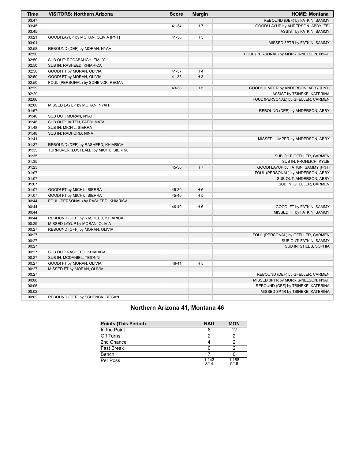| Time  | <b>VISITORS: Northern Arizona</b>     | <b>Score</b> | <b>Margin</b>  | <b>HOME: Montana</b>                   |
|-------|---------------------------------------|--------------|----------------|----------------------------------------|
| 03:47 |                                       |              |                | REBOUND (DEF) by FATKIN, SAMMY         |
| 03:45 |                                       | 41-34        | H 7            | GOOD! LAYUP by ANDERSON, ABBY [FB]     |
| 03:45 |                                       |              |                | ASSIST by FATKIN, SAMMY                |
| 03:21 | GOOD! LAYUP by MORAN, OLIVIA [PNT]    | 41-36        | H <sub>5</sub> |                                        |
| 03:01 |                                       |              |                | MISSED 3PTR by FATKIN, SAMMY           |
| 02:58 | REBOUND (DEF) by MORAN, NYAH          |              |                |                                        |
| 02:50 |                                       |              |                | FOUL (PERSONAL) by MORRIS-NELSON, NYAH |
| 02:50 | SUB OUT: RODABAUGH, EMILY             |              |                |                                        |
| 02:50 | SUB IN: RASHEED, KHIARICA             |              |                |                                        |
| 02:50 | GOOD! FT by MORAN, OLIVIA             | 41-37        | H 4            |                                        |
| 02:50 | GOOD! FT by MORAN, OLIVIA             | 41-38        | $H_3$          |                                        |
| 02:50 | FOUL (PERSONAL) by SCHENCK, REGAN     |              |                |                                        |
| 02:29 |                                       | 43-38        | H <sub>5</sub> | GOOD! JUMPER by ANDERSON, ABBY [PNT]   |
| 02:29 |                                       |              |                | ASSIST by TSINEKE, KATERINA            |
| 02:06 |                                       |              |                | FOUL (PERSONAL) by GFELLER, CARMEN     |
| 02:00 | MISSED LAYUP by MORAN, NYAH           |              |                |                                        |
| 01:57 |                                       |              |                | REBOUND (DEF) by ANDERSON, ABBY        |
| 01:48 | SUB OUT: MORAN, NYAH                  |              |                |                                        |
| 01:48 | SUB OUT: JAITEH, FATOUMATA            |              |                |                                        |
| 01:48 | SUB IN: MICH'L, SIERRA                |              |                |                                        |
| 01:48 | SUB IN: RADFORD, NINA                 |              |                |                                        |
| 01:41 |                                       |              |                | MISSED JUMPER by ANDERSON, ABBY        |
| 01:37 | REBOUND (DEF) by RASHEED, KHIARICA    |              |                |                                        |
| 01:35 | TURNOVER (LOSTBALL) by MICH'L, SIERRA |              |                |                                        |
| 01:35 |                                       |              |                | SUB OUT: GFELLER, CARMEN               |
| 01:35 |                                       |              |                | SUB IN: FROHLICH, KYLIE                |
| 01:23 |                                       | 45-38        | H 7            | GOOD! LAYUP by FATKIN, SAMMY [PNT]     |
| 01:07 |                                       |              |                | FOUL (PERSONAL) by ANDERSON, ABBY      |
| 01:07 |                                       |              |                | SUB OUT: ANDERSON, ABBY                |
| 01:07 |                                       |              |                | SUB IN: GFELLER, CARMEN                |
| 01:07 | GOOD! FT by MICH'L, SIERRA            | 45-39        | H <sub>6</sub> |                                        |
| 01:07 | GOOD! FT by MICH'L, SIERRA            | 45-40        | H <sub>5</sub> |                                        |
| 00:44 | FOUL (PERSONAL) by RASHEED, KHIARICA  |              |                |                                        |
| 00:44 |                                       | 46-40        | H 6            | GOOD! FT by FATKIN, SAMMY              |
| 00:44 |                                       |              |                | MISSED FT by FATKIN, SAMMY             |
| 00:44 | REBOUND (DEF) by RASHEED, KHIARICA    |              |                |                                        |
| 00:29 | MISSED LAYUP by MORAN, OLIVIA         |              |                |                                        |
| 00:27 | REBOUND (OFF) by MORAN, OLIVIA        |              |                |                                        |
| 00:27 |                                       |              |                | FOUL (PERSONAL) by GFELLER, CARMEN     |
| 00:27 |                                       |              |                | SUB OUT: FATKIN, SAMMY                 |
| 00:27 |                                       |              |                | SUB IN: STILES, SOPHIA                 |
| 00:27 | SUB OUT: RASHEED, KHIARICA            |              |                |                                        |
| 00:27 | SUB IN: MCDANIEL, TEIONNI             |              |                |                                        |
| 00:27 | GOOD! FT by MORAN, OLIVIA             | 46-41        | H <sub>5</sub> |                                        |
| 00:27 | MISSED FT by MORAN, OLIVIA            |              |                |                                        |
| 00:27 |                                       |              |                | REBOUND (DEF) by GFELLER, CARMEN       |
| 00:08 |                                       |              |                | MISSED 3PTR by MORRIS-NELSON, NYAH     |
| 00:06 |                                       |              |                | REBOUND (OFF) by TSINEKE, KATERINA     |
| 00:02 |                                       |              |                | MISSED 3PTR by TSINEKE, KATERINA       |
| 00:02 | REBOUND (DEF) by SCHENCK, REGAN       |              |                |                                        |
|       |                                       |              |                |                                        |

## **Northern Arizona 41, Montana 46**

| <b>Points (This Period)</b> | <b>NAU</b>    | <b>MON</b>    |
|-----------------------------|---------------|---------------|
| In the Paint                | 6             | 12            |
| Off Turns                   |               |               |
| 2nd Chance                  |               |               |
| <b>Fast Break</b>           |               |               |
| Bench                       |               |               |
| Per Poss                    | 1.143<br>8/14 | 1.188<br>9/16 |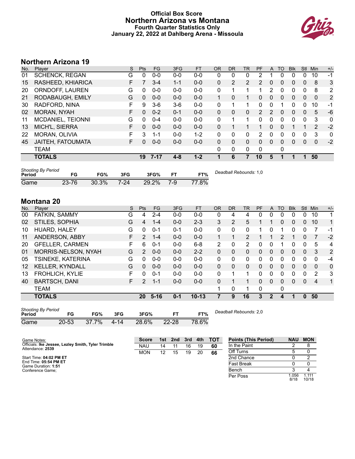## **Official Box Score Northern Arizona vs Montana Fourth Quarter Statistics Only January 22, 2022 at Dahlberg Arena - Missoula**



# **Northern Arizona 19**

| No. | Plaver                | S  | Pts          | FG       | 3FG     | <b>FT</b> | <b>OR</b>    | <b>DR</b>    | TR | PF | A        | TO       | <b>Blk</b> | <b>Stl</b>   | Min          | $+/-$          |
|-----|-----------------------|----|--------------|----------|---------|-----------|--------------|--------------|----|----|----------|----------|------------|--------------|--------------|----------------|
| 01  | <b>SCHENCK, REGAN</b> | G  | 0            | $0 - 0$  | $0 - 0$ | $0 - 0$   | 0            | 0            | 0  | 2  |          | 0        | 0          | 0            | 10           | -1             |
| 15  | RASHEED, KHIARICA     | F  |              | $3 - 4$  | $1 - 1$ | $0 - 0$   | $\mathbf{0}$ | 2            | 2  | 2  | $\Omega$ | 0        | 0          | $\mathbf{0}$ | 8            | 3              |
| 20  | ORNDOFF, LAUREN       | G  | 0            | $0 - 0$  | $0 - 0$ | $0 - 0$   | 0            |              | 1  | 1  | 2        | 0        | 0          | 0            | 8            | $\overline{2}$ |
| 21  | RODABAUGH, EMILY      | G  | $\mathbf{0}$ | $0 - 0$  | $0 - 0$ | $0 - 0$   |              | 0            |    | 0  | 0        | 0        | 0          | 0            | $\mathbf{0}$ | 2              |
| 30  | RADFORD, NINA         | F  | 9            | $3-6$    | $3-6$   | $0 - 0$   | $\Omega$     |              | 1  | 0  | $\Omega$ |          | 0          | 0            | 10           | -1             |
| 02  | <b>MORAN, NYAH</b>    | F  | 0            | $0 - 2$  | $0 - 1$ | $0 - 0$   | $\Omega$     | 0            | 0  | 2  |          | 0        | 0          | 0            | 5            | $-6$           |
| 11  | MCDANIEL, TEIONNI     | G  | 0            | $0 - 4$  | $0 - 0$ | $0 - 0$   | $\Omega$     | 1            | 1  | 0  | $\Omega$ | 0        | 0          | $\Omega$     | 3            | 0              |
| 13  | MICH'L, SIERRA        | F  | $\Omega$     | $0 - 0$  | $0 - 0$ | $0 - 0$   | $\Omega$     |              |    |    | $\Omega$ | $\Omega$ |            |              | 2            | $-2$           |
| 22  | <b>MORAN, OLIVIA</b>  | F  | 3            | 1-1      | $0 - 0$ | $1 - 2$   | $\Omega$     | 0            | 0  | 2  | 0        | 0        | 0          | 0            | 3            | $\mathbf{0}$   |
| 45  | JAITEH, FATOUMATA     | F. | 0            | $0 - 0$  | $0 - 0$ | $0 - 0$   | $\Omega$     | 0            | 0  | 0  | $\Omega$ | 0        | 0          | $\Omega$     | $\mathbf{0}$ | $-2$           |
|     | <b>TEAM</b>           |    |              |          |         |           | $\Omega$     | $\mathbf{0}$ | 0  | 0  |          | 0        |            |              |              |                |
|     | <b>TOTALS</b>         |    | 19           | $7 - 17$ | $4 - 8$ | $1 - 2$   |              | 6            | 7  | 10 | 5        |          |            |              | 50           |                |
|     |                       |    |              |          |         |           |              |              |    |    |          |          |            |              |              |                |

| <b>Shooting By Period</b><br>Period | FG    | FG%   | 3FG  | 3FG%  |     | FT%   | Deadball Rebounds: 1,0 |
|-------------------------------------|-------|-------|------|-------|-----|-------|------------------------|
| Game                                | 23-76 | 30.3% | 7-24 | 29.2% | 7-9 | 77.8% |                        |

## **Montana 20**

| No. | Player                 | S  | <b>Pts</b> | <b>FG</b> | 3FG     | <b>FT</b> | <b>OR</b>    | DR | TR | PF | A            | TO       | <b>Blk</b> | Stl          | Min      | $+/-$          |
|-----|------------------------|----|------------|-----------|---------|-----------|--------------|----|----|----|--------------|----------|------------|--------------|----------|----------------|
| 00  | FATKIN, SAMMY          | G  | 4          | $2 - 4$   | $0 - 0$ | $0 - 0$   | 0            | 4  | 4  | 0  | 0            | 0        | 0          | 0            | 10       | 1              |
| 02  | STILES, SOPHIA         | G  | 4          | $1 - 4$   | $0 - 0$ | $2 - 3$   | 3            | 2  | 5  |    |              | 0        | 0          | $\mathbf{0}$ | 10       | 1              |
| 10  | HUARD, HALEY           | G  | 0          | $0 - 1$   | $0 - 1$ | $0 - 0$   | $\Omega$     | 0  | 0  |    |              |          | 0          | 0            | 7        | -1             |
| 11  | ANDERSON, ABBY         | F. | 2          | 1-4       | $0 - 0$ | $0 - 0$   | 1            | 1  | 2  |    |              | 2        | 1          | $\mathbf{0}$ | 7        | $-2$           |
| 20  | <b>GFELLER, CARMEN</b> | F  | 6          | $0 - 1$   | $0 - 0$ | $6 - 8$   | 2            | 0  | 2  | 0  | 0            |          | 0          | 0            | 5        | 4              |
| 01  | MORRIS-NELSON, NYAH    | G  | 2          | $0 - 0$   | $0 - 0$ | $2 - 2$   | $\Omega$     | 0  | 0  | 0  | 0            | 0        | 0          | $\mathbf{0}$ | 3        | $\overline{2}$ |
| 05  | TSINEKE, KATERINA      | G  | 0          | $0 - 0$   | $0 - 0$ | $0 - 0$   | $\Omega$     | 0  | 0  | 0  | 0            | 0        | 0          | 0            | 0        | $-4$           |
| 12  | KELLER, KYNDALL        | G  | $\Omega$   | $0 - 0$   | $0 - 0$ | $0 - 0$   | $\mathbf{0}$ | 0  | 0  | 0  | $\Omega$     | $\Omega$ | 0          | $\mathbf{0}$ | $\Omega$ | 0              |
| 13  | FROHLICH, KYLIE        | F  | 0          | $0 - 1$   | $0 - 0$ | $0 - 0$   | $\Omega$     | 1  | 1  | 0  | 0            | 0        | 0          | 0            | 2        | 3              |
| 40  | <b>BARTSCH, DANI</b>   | F  | 2          | $1 - 1$   | $0 - 0$ | $0 - 0$   | $\Omega$     |    |    | 0  | $\Omega$     | 0        | 0          | $\mathbf{0}$ | 4        | 1              |
|     | <b>TEAM</b>            |    |            |           |         |           |              | 0  | 1  | 0  |              | 0        |            |              |          |                |
|     | <b>TOTALS</b>          |    | 20         | $5 - 16$  | $0 - 1$ | $10 - 13$ |              | 9  | 16 | 3  | $\mathbf{2}$ | 4        |            | 0            | 50       |                |
|     |                        |    |            |           |         |           |              |    |    |    |              |          |            |              |          |                |

| <b>Shooting By Period</b> |           |          |      |       |           |       |
|---------------------------|-----------|----------|------|-------|-----------|-------|
| Period                    | FG        | FG%      | 3FG  | 3FG%  | FТ        | FT%   |
| Game                      | $20 - 53$ | $37.7\%$ | 4-14 | 28.6% | $22 - 28$ | 78.6% |

*Deadball Rebounds:* 2,0

| Game Notes:                                                            | <b>Score</b> | 1st.            | 2nd | 3rd | 4th | тот | <b>Points (This Period)</b> | <b>NAU</b>   | <b>MON</b>     |
|------------------------------------------------------------------------|--------------|-----------------|-----|-----|-----|-----|-----------------------------|--------------|----------------|
| Officials: Ike Jessee, Lezley Smith, Tyler Trimble<br>Attendance: 2539 | <b>NAU</b>   | 14              |     | 16  | 19  | 60  | In the Paint                |              |                |
|                                                                        | <b>MON</b>   | 12 <sup>°</sup> | 15  | 19  | 20  | 66  | Off Turns                   |              |                |
| Start Time: 04:02 PM ET                                                |              |                 |     |     |     |     | 2nd Chance                  |              |                |
| End Time: 05:54 PM ET<br>Game Duration: 1:51                           |              |                 |     |     |     |     | <b>Fast Break</b>           |              |                |
| Conference Game;                                                       |              |                 |     |     |     |     | Bench                       |              |                |
|                                                                        |              |                 |     |     |     |     | Per Poss                    | .056<br>8/18 | 1.111<br>10/18 |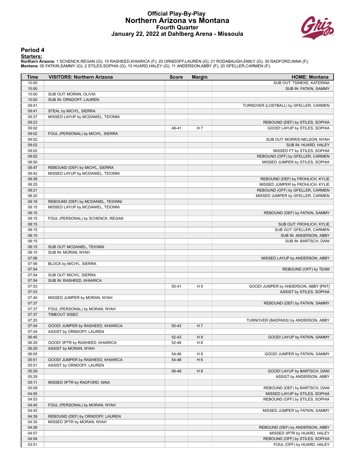#### **Official Play-By-Play Northern Arizona vs Montana Fourth Quarter January 22, 2022 at Dahlberg Arena - Missoula**



#### **Period 4**

#### **Starters:**

Northern Arizona: 1 SCHENCK,REGAN (G); 15 RASHEED,KHIARICA (F); 20 ORNDOFF,LAUREN (G); 21 RODABAUGH,EMILY (G); 30 RADFORD,NINA (F);<br>Montana: 00 FATKIN,SAMMY (G); 2 STILES,SOPHIA (G); 10 HUARD,HALEY (G); 11 ANDERSON,ABBY (F

| Time           | <b>VISITORS: Northern Arizona</b>                              | <b>Score</b> | <b>Margin</b>  | <b>HOME: Montana</b>                                            |
|----------------|----------------------------------------------------------------|--------------|----------------|-----------------------------------------------------------------|
| 10:00          |                                                                |              |                | SUB OUT: TSINEKE, KATERINA                                      |
| 10:00          |                                                                |              |                | SUB IN: FATKIN, SAMMY                                           |
| 10:00          | SUB OUT: MORAN, OLIVIA                                         |              |                |                                                                 |
| 10:00          | SUB IN: ORNDOFF, LAUREN                                        |              |                |                                                                 |
| 09:41          |                                                                |              |                | TURNOVER (LOSTBALL) by GFELLER, CARMEN                          |
| 09:41          | STEAL by MICH'L, SIERRA                                        |              |                |                                                                 |
| 09:27          | MISSED LAYUP by MCDANIEL, TEIONNI                              |              |                |                                                                 |
| 09:23          |                                                                |              |                | REBOUND (DEF) by STILES, SOPHIA                                 |
| 09:02          |                                                                | 48-41        | H <sub>7</sub> | GOOD! LAYUP by STILES, SOPHIA                                   |
| 09:02          | FOUL (PERSONAL) by MICH'L, SIERRA                              |              |                |                                                                 |
| 09:02          |                                                                |              |                | SUB OUT: MORRIS-NELSON, NYAH                                    |
| 09:02<br>09:02 |                                                                |              |                | SUB IN: HUARD, HALEY                                            |
| 09:02          |                                                                |              |                | MISSED FT by STILES, SOPHIA<br>REBOUND (OFF) by GFELLER, CARMEN |
| 08:50          |                                                                |              |                | MISSED JUMPER by STILES, SOPHIA                                 |
| 08:47          | REBOUND (DEF) by MICH'L, SIERRA                                |              |                |                                                                 |
| 08:42          | MISSED LAYUP by MCDANIEL, TEIONNI                              |              |                |                                                                 |
| 08:39          |                                                                |              |                | REBOUND (DEF) by FROHLICH, KYLIE                                |
| 08:25          |                                                                |              |                | MISSED JUMPER by FROHLICH, KYLIE                                |
| 08:21          |                                                                |              |                | REBOUND (OFF) by GFELLER, CARMEN                                |
| 08:20          |                                                                |              |                | MISSED JUMPER by GFELLER, CARMEN                                |
| 08:16          | REBOUND (DEF) by MCDANIEL, TEIONNI                             |              |                |                                                                 |
| 08:15          | MISSED LAYUP by MCDANIEL, TEIONNI                              |              |                |                                                                 |
| 08:15          |                                                                |              |                | REBOUND (DEF) by FATKIN, SAMMY                                  |
| 08:15          | FOUL (PERSONAL) by SCHENCK, REGAN                              |              |                |                                                                 |
| 08:15          |                                                                |              |                | SUB OUT: FROHLICH, KYLIE                                        |
| 08:15          |                                                                |              |                | SUB OUT: GFELLER, CARMEN                                        |
| 08:15          |                                                                |              |                | SUB IN: ANDERSON, ABBY                                          |
| 08:15          |                                                                |              |                | SUB IN: BARTSCH, DANI                                           |
| 08:15          | SUB OUT: MCDANIEL, TEIONNI                                     |              |                |                                                                 |
| 08:15          | SUB IN: MORAN, NYAH                                            |              |                |                                                                 |
| 07:56          |                                                                |              |                | MISSED LAYUP by ANDERSON, ABBY                                  |
| 07:56          | BLOCK by MICH'L, SIERRA                                        |              |                |                                                                 |
| 07:54          |                                                                |              |                | REBOUND (OFF) by TEAM                                           |
| 07:54          | SUB OUT: MICH'L, SIERRA                                        |              |                |                                                                 |
| 07:54          | SUB IN: RASHEED, KHIARICA                                      |              |                |                                                                 |
| 07:53          |                                                                | $50 - 41$    | H9             | GOOD! JUMPER by ANDERSON, ABBY [PNT]                            |
| 07:53          |                                                                |              |                | ASSIST by STILES, SOPHIA                                        |
| 07:40          | MISSED JUMPER by MORAN, NYAH                                   |              |                |                                                                 |
| 07:37          |                                                                |              |                | REBOUND (DEF) by FATKIN, SAMMY                                  |
| 07:37          | FOUL (PERSONAL) by MORAN, NYAH                                 |              |                |                                                                 |
| 07:37          | TIMEOUT 30SEC                                                  |              |                |                                                                 |
| 07:20          |                                                                | 50-43        | H <sub>7</sub> | TURNOVER (BADPASS) by ANDERSON, ABBY                            |
| 07:04<br>07:04 | GOOD! JUMPER by RASHEED, KHIARICA<br>ASSIST by ORNDOFF, LAUREN |              |                |                                                                 |
| 06:45          |                                                                | 52-43        | H9             | GOOD! LAYUP by FATKIN, SAMMY                                    |
| 06:29          | GOOD! 3PTR by RASHEED, KHIARICA                                | 52-46        | H <sub>6</sub> |                                                                 |
| 06:29          | ASSIST by MORAN, NYAH                                          |              |                |                                                                 |
| 06:05          |                                                                | 54-46        | H <sub>8</sub> | GOOD! JUMPER by FATKIN, SAMMY                                   |
| 05:51          | GOOD! JUMPER by RASHEED, KHIARICA                              | 54-48        | H <sub>6</sub> |                                                                 |
| 05:51          | ASSIST by ORNDOFF, LAUREN                                      |              |                |                                                                 |
| 05:29          |                                                                | 56-48        | H <sub>8</sub> | GOOD! LAYUP by BARTSCH, DANI                                    |
| 05:29          |                                                                |              |                | ASSIST by ANDERSON, ABBY                                        |
| 05:11          | MISSED 3PTR by RADFORD, NINA                                   |              |                |                                                                 |
| 05:09          |                                                                |              |                | REBOUND (DEF) by BARTSCH, DANI                                  |
| 04:55          |                                                                |              |                | MISSED LAYUP by STILES, SOPHIA                                  |
| 04:53          |                                                                |              |                | REBOUND (OFF) by STILES, SOPHIA                                 |
| 04:45          | FOUL (PERSONAL) by MORAN, NYAH                                 |              |                |                                                                 |
| 04:43          |                                                                |              |                | MISSED JUMPER by FATKIN, SAMMY                                  |
| 04:39          | REBOUND (DEF) by ORNDOFF, LAUREN                               |              |                |                                                                 |
| 04:30          | MISSED 3PTR by MORAN, NYAH                                     |              |                |                                                                 |
| 04:26          |                                                                |              |                | REBOUND (DEF) by ANDERSON, ABBY                                 |
| 04:07          |                                                                |              |                | MISSED 3PTR by HUARD, HALEY                                     |
| 04:04          |                                                                |              |                | REBOUND (OFF) by STILES, SOPHIA                                 |
| 03:51          |                                                                |              |                | FOUL (OFF) by HUARD, HALEY                                      |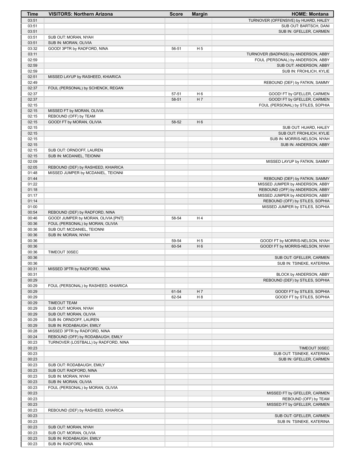| 03:51<br>03:51<br>03:51<br>03:51<br>SUB OUT: MORAN, NYAH<br>03:51<br>SUB IN: MORAN, OLIVIA<br>03:32<br>H <sub>5</sub><br>GOOD! 3PTR by RADFORD, NINA<br>56-51<br>03:11<br>02:59<br>02:59<br>02:59<br>02:51<br>MISSED LAYUP by RASHEED, KHIARICA<br>02:49<br>REBOUND (DEF) by FATKIN, SAMMY<br>02:37<br>FOUL (PERSONAL) by SCHENCK, REGAN<br>02:37<br>57-51<br>H <sub>6</sub><br>02:37<br>H 7<br>58-51<br>02:15<br>02:15<br>MISSED FT by MORAN, OLIVIA<br>02:15<br>REBOUND (OFF) by TEAM<br>02:15<br>H <sub>6</sub><br>GOOD! FT by MORAN, OLIVIA<br>58-52<br>02:15<br>02:15<br>02:15<br>02:15<br>02:15<br>SUB OUT: ORNDOFF, LAUREN<br>02:15<br>SUB IN: MCDANIEL, TEIONNI<br>02:09<br>02:05<br>REBOUND (DEF) by RASHEED, KHIARICA<br>01:48<br>MISSED JUMPER by MCDANIEL, TEIONNI<br>01:44<br>01:22<br>MISSED JUMPER by ANDERSON, ABBY<br>01:18<br>REBOUND (OFF) by ANDERSON, ABBY<br>01:17<br>01:14<br>01:00<br>00:54<br>REBOUND (DEF) by RADFORD, NINA<br>00:46<br>GOOD! JUMPER by MORAN, OLIVIA [PNT]<br>58-54<br>H4<br>00:36<br>FOUL (PERSONAL) by MORAN, OLIVIA<br>00:36<br>SUB OUT: MCDANIEL, TEIONNI<br>00:36<br>SUB IN: MORAN, NYAH<br>00:36<br>59-54<br>H <sub>5</sub><br>00:36<br>60-54<br>H <sub>6</sub><br>00:36<br>TIMEOUT 30SEC<br>00:36<br>00:36<br>00:31<br>MISSED 3PTR by RADFORD, NINA<br>00:31<br>00:29<br>00:29<br>FOUL (PERSONAL) by RASHEED, KHIARICA<br>00:29<br>61-54<br>H 7<br>H <sub>8</sub><br>00:29<br>62-54<br>00:29<br><b>TIMEOUT TEAM</b><br>00:29<br>SUB OUT: MORAN, NYAH<br>00:29<br>SUB OUT: MORAN, OLIVIA<br>00:29<br>SUB IN: ORNDOFF, LAUREN<br>00:29<br>SUB IN: RODABAUGH, EMILY<br>00:28<br>MISSED 3PTR by RADFORD, NINA<br>REBOUND (OFF) by RODABAUGH, EMILY<br>00:24 | Time  | <b>VISITORS: Northern Arizona</b>    | <b>Score</b> | <b>Margin</b> | <b>HOME: Montana</b>                                     |
|-----------------------------------------------------------------------------------------------------------------------------------------------------------------------------------------------------------------------------------------------------------------------------------------------------------------------------------------------------------------------------------------------------------------------------------------------------------------------------------------------------------------------------------------------------------------------------------------------------------------------------------------------------------------------------------------------------------------------------------------------------------------------------------------------------------------------------------------------------------------------------------------------------------------------------------------------------------------------------------------------------------------------------------------------------------------------------------------------------------------------------------------------------------------------------------------------------------------------------------------------------------------------------------------------------------------------------------------------------------------------------------------------------------------------------------------------------------------------------------------------------------------------------------------------------------------------------------------------------------------------------------------------------------------------------------------------------------|-------|--------------------------------------|--------------|---------------|----------------------------------------------------------|
|                                                                                                                                                                                                                                                                                                                                                                                                                                                                                                                                                                                                                                                                                                                                                                                                                                                                                                                                                                                                                                                                                                                                                                                                                                                                                                                                                                                                                                                                                                                                                                                                                                                                                                           |       |                                      |              |               | TURNOVER (OFFENSIVE) by HUARD, HALEY                     |
|                                                                                                                                                                                                                                                                                                                                                                                                                                                                                                                                                                                                                                                                                                                                                                                                                                                                                                                                                                                                                                                                                                                                                                                                                                                                                                                                                                                                                                                                                                                                                                                                                                                                                                           |       |                                      |              |               | SUB OUT: BARTSCH, DANI                                   |
|                                                                                                                                                                                                                                                                                                                                                                                                                                                                                                                                                                                                                                                                                                                                                                                                                                                                                                                                                                                                                                                                                                                                                                                                                                                                                                                                                                                                                                                                                                                                                                                                                                                                                                           |       |                                      |              |               | SUB IN: GFELLER, CARMEN                                  |
|                                                                                                                                                                                                                                                                                                                                                                                                                                                                                                                                                                                                                                                                                                                                                                                                                                                                                                                                                                                                                                                                                                                                                                                                                                                                                                                                                                                                                                                                                                                                                                                                                                                                                                           |       |                                      |              |               |                                                          |
|                                                                                                                                                                                                                                                                                                                                                                                                                                                                                                                                                                                                                                                                                                                                                                                                                                                                                                                                                                                                                                                                                                                                                                                                                                                                                                                                                                                                                                                                                                                                                                                                                                                                                                           |       |                                      |              |               |                                                          |
|                                                                                                                                                                                                                                                                                                                                                                                                                                                                                                                                                                                                                                                                                                                                                                                                                                                                                                                                                                                                                                                                                                                                                                                                                                                                                                                                                                                                                                                                                                                                                                                                                                                                                                           |       |                                      |              |               |                                                          |
|                                                                                                                                                                                                                                                                                                                                                                                                                                                                                                                                                                                                                                                                                                                                                                                                                                                                                                                                                                                                                                                                                                                                                                                                                                                                                                                                                                                                                                                                                                                                                                                                                                                                                                           |       |                                      |              |               | TURNOVER (BADPASS) by ANDERSON, ABBY                     |
|                                                                                                                                                                                                                                                                                                                                                                                                                                                                                                                                                                                                                                                                                                                                                                                                                                                                                                                                                                                                                                                                                                                                                                                                                                                                                                                                                                                                                                                                                                                                                                                                                                                                                                           |       |                                      |              |               | FOUL (PERSONAL) by ANDERSON, ABBY                        |
|                                                                                                                                                                                                                                                                                                                                                                                                                                                                                                                                                                                                                                                                                                                                                                                                                                                                                                                                                                                                                                                                                                                                                                                                                                                                                                                                                                                                                                                                                                                                                                                                                                                                                                           |       |                                      |              |               | SUB OUT: ANDERSON, ABBY                                  |
|                                                                                                                                                                                                                                                                                                                                                                                                                                                                                                                                                                                                                                                                                                                                                                                                                                                                                                                                                                                                                                                                                                                                                                                                                                                                                                                                                                                                                                                                                                                                                                                                                                                                                                           |       |                                      |              |               | SUB IN: FROHLICH, KYLIE                                  |
|                                                                                                                                                                                                                                                                                                                                                                                                                                                                                                                                                                                                                                                                                                                                                                                                                                                                                                                                                                                                                                                                                                                                                                                                                                                                                                                                                                                                                                                                                                                                                                                                                                                                                                           |       |                                      |              |               |                                                          |
|                                                                                                                                                                                                                                                                                                                                                                                                                                                                                                                                                                                                                                                                                                                                                                                                                                                                                                                                                                                                                                                                                                                                                                                                                                                                                                                                                                                                                                                                                                                                                                                                                                                                                                           |       |                                      |              |               |                                                          |
|                                                                                                                                                                                                                                                                                                                                                                                                                                                                                                                                                                                                                                                                                                                                                                                                                                                                                                                                                                                                                                                                                                                                                                                                                                                                                                                                                                                                                                                                                                                                                                                                                                                                                                           |       |                                      |              |               | GOOD! FT by GFELLER, CARMEN                              |
|                                                                                                                                                                                                                                                                                                                                                                                                                                                                                                                                                                                                                                                                                                                                                                                                                                                                                                                                                                                                                                                                                                                                                                                                                                                                                                                                                                                                                                                                                                                                                                                                                                                                                                           |       |                                      |              |               | GOOD! FT by GFELLER, CARMEN                              |
|                                                                                                                                                                                                                                                                                                                                                                                                                                                                                                                                                                                                                                                                                                                                                                                                                                                                                                                                                                                                                                                                                                                                                                                                                                                                                                                                                                                                                                                                                                                                                                                                                                                                                                           |       |                                      |              |               | FOUL (PERSONAL) by STILES, SOPHIA                        |
|                                                                                                                                                                                                                                                                                                                                                                                                                                                                                                                                                                                                                                                                                                                                                                                                                                                                                                                                                                                                                                                                                                                                                                                                                                                                                                                                                                                                                                                                                                                                                                                                                                                                                                           |       |                                      |              |               |                                                          |
|                                                                                                                                                                                                                                                                                                                                                                                                                                                                                                                                                                                                                                                                                                                                                                                                                                                                                                                                                                                                                                                                                                                                                                                                                                                                                                                                                                                                                                                                                                                                                                                                                                                                                                           |       |                                      |              |               |                                                          |
|                                                                                                                                                                                                                                                                                                                                                                                                                                                                                                                                                                                                                                                                                                                                                                                                                                                                                                                                                                                                                                                                                                                                                                                                                                                                                                                                                                                                                                                                                                                                                                                                                                                                                                           |       |                                      |              |               |                                                          |
|                                                                                                                                                                                                                                                                                                                                                                                                                                                                                                                                                                                                                                                                                                                                                                                                                                                                                                                                                                                                                                                                                                                                                                                                                                                                                                                                                                                                                                                                                                                                                                                                                                                                                                           |       |                                      |              |               | SUB OUT: HUARD, HALEY                                    |
|                                                                                                                                                                                                                                                                                                                                                                                                                                                                                                                                                                                                                                                                                                                                                                                                                                                                                                                                                                                                                                                                                                                                                                                                                                                                                                                                                                                                                                                                                                                                                                                                                                                                                                           |       |                                      |              |               | SUB OUT: FROHLICH, KYLIE                                 |
|                                                                                                                                                                                                                                                                                                                                                                                                                                                                                                                                                                                                                                                                                                                                                                                                                                                                                                                                                                                                                                                                                                                                                                                                                                                                                                                                                                                                                                                                                                                                                                                                                                                                                                           |       |                                      |              |               | SUB IN: MORRIS-NELSON, NYAH                              |
|                                                                                                                                                                                                                                                                                                                                                                                                                                                                                                                                                                                                                                                                                                                                                                                                                                                                                                                                                                                                                                                                                                                                                                                                                                                                                                                                                                                                                                                                                                                                                                                                                                                                                                           |       |                                      |              |               | SUB IN: ANDERSON, ABBY                                   |
|                                                                                                                                                                                                                                                                                                                                                                                                                                                                                                                                                                                                                                                                                                                                                                                                                                                                                                                                                                                                                                                                                                                                                                                                                                                                                                                                                                                                                                                                                                                                                                                                                                                                                                           |       |                                      |              |               |                                                          |
|                                                                                                                                                                                                                                                                                                                                                                                                                                                                                                                                                                                                                                                                                                                                                                                                                                                                                                                                                                                                                                                                                                                                                                                                                                                                                                                                                                                                                                                                                                                                                                                                                                                                                                           |       |                                      |              |               |                                                          |
|                                                                                                                                                                                                                                                                                                                                                                                                                                                                                                                                                                                                                                                                                                                                                                                                                                                                                                                                                                                                                                                                                                                                                                                                                                                                                                                                                                                                                                                                                                                                                                                                                                                                                                           |       |                                      |              |               | MISSED LAYUP by FATKIN, SAMMY                            |
|                                                                                                                                                                                                                                                                                                                                                                                                                                                                                                                                                                                                                                                                                                                                                                                                                                                                                                                                                                                                                                                                                                                                                                                                                                                                                                                                                                                                                                                                                                                                                                                                                                                                                                           |       |                                      |              |               |                                                          |
|                                                                                                                                                                                                                                                                                                                                                                                                                                                                                                                                                                                                                                                                                                                                                                                                                                                                                                                                                                                                                                                                                                                                                                                                                                                                                                                                                                                                                                                                                                                                                                                                                                                                                                           |       |                                      |              |               |                                                          |
|                                                                                                                                                                                                                                                                                                                                                                                                                                                                                                                                                                                                                                                                                                                                                                                                                                                                                                                                                                                                                                                                                                                                                                                                                                                                                                                                                                                                                                                                                                                                                                                                                                                                                                           |       |                                      |              |               | REBOUND (DEF) by FATKIN, SAMMY                           |
|                                                                                                                                                                                                                                                                                                                                                                                                                                                                                                                                                                                                                                                                                                                                                                                                                                                                                                                                                                                                                                                                                                                                                                                                                                                                                                                                                                                                                                                                                                                                                                                                                                                                                                           |       |                                      |              |               |                                                          |
|                                                                                                                                                                                                                                                                                                                                                                                                                                                                                                                                                                                                                                                                                                                                                                                                                                                                                                                                                                                                                                                                                                                                                                                                                                                                                                                                                                                                                                                                                                                                                                                                                                                                                                           |       |                                      |              |               | MISSED JUMPER by ANDERSON, ABBY                          |
|                                                                                                                                                                                                                                                                                                                                                                                                                                                                                                                                                                                                                                                                                                                                                                                                                                                                                                                                                                                                                                                                                                                                                                                                                                                                                                                                                                                                                                                                                                                                                                                                                                                                                                           |       |                                      |              |               | REBOUND (OFF) by STILES, SOPHIA                          |
|                                                                                                                                                                                                                                                                                                                                                                                                                                                                                                                                                                                                                                                                                                                                                                                                                                                                                                                                                                                                                                                                                                                                                                                                                                                                                                                                                                                                                                                                                                                                                                                                                                                                                                           |       |                                      |              |               | MISSED JUMPER by STILES, SOPHIA                          |
|                                                                                                                                                                                                                                                                                                                                                                                                                                                                                                                                                                                                                                                                                                                                                                                                                                                                                                                                                                                                                                                                                                                                                                                                                                                                                                                                                                                                                                                                                                                                                                                                                                                                                                           |       |                                      |              |               |                                                          |
|                                                                                                                                                                                                                                                                                                                                                                                                                                                                                                                                                                                                                                                                                                                                                                                                                                                                                                                                                                                                                                                                                                                                                                                                                                                                                                                                                                                                                                                                                                                                                                                                                                                                                                           |       |                                      |              |               |                                                          |
|                                                                                                                                                                                                                                                                                                                                                                                                                                                                                                                                                                                                                                                                                                                                                                                                                                                                                                                                                                                                                                                                                                                                                                                                                                                                                                                                                                                                                                                                                                                                                                                                                                                                                                           |       |                                      |              |               |                                                          |
|                                                                                                                                                                                                                                                                                                                                                                                                                                                                                                                                                                                                                                                                                                                                                                                                                                                                                                                                                                                                                                                                                                                                                                                                                                                                                                                                                                                                                                                                                                                                                                                                                                                                                                           |       |                                      |              |               |                                                          |
|                                                                                                                                                                                                                                                                                                                                                                                                                                                                                                                                                                                                                                                                                                                                                                                                                                                                                                                                                                                                                                                                                                                                                                                                                                                                                                                                                                                                                                                                                                                                                                                                                                                                                                           |       |                                      |              |               |                                                          |
|                                                                                                                                                                                                                                                                                                                                                                                                                                                                                                                                                                                                                                                                                                                                                                                                                                                                                                                                                                                                                                                                                                                                                                                                                                                                                                                                                                                                                                                                                                                                                                                                                                                                                                           |       |                                      |              |               | GOOD! FT by MORRIS-NELSON, NYAH                          |
|                                                                                                                                                                                                                                                                                                                                                                                                                                                                                                                                                                                                                                                                                                                                                                                                                                                                                                                                                                                                                                                                                                                                                                                                                                                                                                                                                                                                                                                                                                                                                                                                                                                                                                           |       |                                      |              |               | GOOD! FT by MORRIS-NELSON, NYAH                          |
|                                                                                                                                                                                                                                                                                                                                                                                                                                                                                                                                                                                                                                                                                                                                                                                                                                                                                                                                                                                                                                                                                                                                                                                                                                                                                                                                                                                                                                                                                                                                                                                                                                                                                                           |       |                                      |              |               |                                                          |
|                                                                                                                                                                                                                                                                                                                                                                                                                                                                                                                                                                                                                                                                                                                                                                                                                                                                                                                                                                                                                                                                                                                                                                                                                                                                                                                                                                                                                                                                                                                                                                                                                                                                                                           |       |                                      |              |               | SUB OUT: GFELLER, CARMEN                                 |
|                                                                                                                                                                                                                                                                                                                                                                                                                                                                                                                                                                                                                                                                                                                                                                                                                                                                                                                                                                                                                                                                                                                                                                                                                                                                                                                                                                                                                                                                                                                                                                                                                                                                                                           |       |                                      |              |               | SUB IN: TSINEKE, KATERINA                                |
|                                                                                                                                                                                                                                                                                                                                                                                                                                                                                                                                                                                                                                                                                                                                                                                                                                                                                                                                                                                                                                                                                                                                                                                                                                                                                                                                                                                                                                                                                                                                                                                                                                                                                                           |       |                                      |              |               |                                                          |
|                                                                                                                                                                                                                                                                                                                                                                                                                                                                                                                                                                                                                                                                                                                                                                                                                                                                                                                                                                                                                                                                                                                                                                                                                                                                                                                                                                                                                                                                                                                                                                                                                                                                                                           |       |                                      |              |               | BLOCK by ANDERSON, ABBY                                  |
|                                                                                                                                                                                                                                                                                                                                                                                                                                                                                                                                                                                                                                                                                                                                                                                                                                                                                                                                                                                                                                                                                                                                                                                                                                                                                                                                                                                                                                                                                                                                                                                                                                                                                                           |       |                                      |              |               | REBOUND (DEF) by STILES, SOPHIA                          |
|                                                                                                                                                                                                                                                                                                                                                                                                                                                                                                                                                                                                                                                                                                                                                                                                                                                                                                                                                                                                                                                                                                                                                                                                                                                                                                                                                                                                                                                                                                                                                                                                                                                                                                           |       |                                      |              |               |                                                          |
|                                                                                                                                                                                                                                                                                                                                                                                                                                                                                                                                                                                                                                                                                                                                                                                                                                                                                                                                                                                                                                                                                                                                                                                                                                                                                                                                                                                                                                                                                                                                                                                                                                                                                                           |       |                                      |              |               | GOOD! FT by STILES, SOPHIA<br>GOOD! FT by STILES, SOPHIA |
|                                                                                                                                                                                                                                                                                                                                                                                                                                                                                                                                                                                                                                                                                                                                                                                                                                                                                                                                                                                                                                                                                                                                                                                                                                                                                                                                                                                                                                                                                                                                                                                                                                                                                                           |       |                                      |              |               |                                                          |
|                                                                                                                                                                                                                                                                                                                                                                                                                                                                                                                                                                                                                                                                                                                                                                                                                                                                                                                                                                                                                                                                                                                                                                                                                                                                                                                                                                                                                                                                                                                                                                                                                                                                                                           |       |                                      |              |               |                                                          |
|                                                                                                                                                                                                                                                                                                                                                                                                                                                                                                                                                                                                                                                                                                                                                                                                                                                                                                                                                                                                                                                                                                                                                                                                                                                                                                                                                                                                                                                                                                                                                                                                                                                                                                           |       |                                      |              |               |                                                          |
|                                                                                                                                                                                                                                                                                                                                                                                                                                                                                                                                                                                                                                                                                                                                                                                                                                                                                                                                                                                                                                                                                                                                                                                                                                                                                                                                                                                                                                                                                                                                                                                                                                                                                                           |       |                                      |              |               |                                                          |
|                                                                                                                                                                                                                                                                                                                                                                                                                                                                                                                                                                                                                                                                                                                                                                                                                                                                                                                                                                                                                                                                                                                                                                                                                                                                                                                                                                                                                                                                                                                                                                                                                                                                                                           |       |                                      |              |               |                                                          |
|                                                                                                                                                                                                                                                                                                                                                                                                                                                                                                                                                                                                                                                                                                                                                                                                                                                                                                                                                                                                                                                                                                                                                                                                                                                                                                                                                                                                                                                                                                                                                                                                                                                                                                           |       |                                      |              |               |                                                          |
|                                                                                                                                                                                                                                                                                                                                                                                                                                                                                                                                                                                                                                                                                                                                                                                                                                                                                                                                                                                                                                                                                                                                                                                                                                                                                                                                                                                                                                                                                                                                                                                                                                                                                                           |       |                                      |              |               |                                                          |
|                                                                                                                                                                                                                                                                                                                                                                                                                                                                                                                                                                                                                                                                                                                                                                                                                                                                                                                                                                                                                                                                                                                                                                                                                                                                                                                                                                                                                                                                                                                                                                                                                                                                                                           | 00:23 | TURNOVER (LOSTBALL) by RADFORD, NINA |              |               |                                                          |
| 00:23                                                                                                                                                                                                                                                                                                                                                                                                                                                                                                                                                                                                                                                                                                                                                                                                                                                                                                                                                                                                                                                                                                                                                                                                                                                                                                                                                                                                                                                                                                                                                                                                                                                                                                     |       |                                      |              |               | TIMEOUT 30SEC                                            |
| 00:23                                                                                                                                                                                                                                                                                                                                                                                                                                                                                                                                                                                                                                                                                                                                                                                                                                                                                                                                                                                                                                                                                                                                                                                                                                                                                                                                                                                                                                                                                                                                                                                                                                                                                                     |       |                                      |              |               | SUB OUT: TSINEKE, KATERINA                               |
| 00:23                                                                                                                                                                                                                                                                                                                                                                                                                                                                                                                                                                                                                                                                                                                                                                                                                                                                                                                                                                                                                                                                                                                                                                                                                                                                                                                                                                                                                                                                                                                                                                                                                                                                                                     |       |                                      |              |               | SUB IN: GFELLER, CARMEN                                  |
| 00:23<br>SUB OUT: RODABAUGH, EMILY                                                                                                                                                                                                                                                                                                                                                                                                                                                                                                                                                                                                                                                                                                                                                                                                                                                                                                                                                                                                                                                                                                                                                                                                                                                                                                                                                                                                                                                                                                                                                                                                                                                                        |       |                                      |              |               |                                                          |
| 00:23<br>SUB OUT: RADFORD, NINA                                                                                                                                                                                                                                                                                                                                                                                                                                                                                                                                                                                                                                                                                                                                                                                                                                                                                                                                                                                                                                                                                                                                                                                                                                                                                                                                                                                                                                                                                                                                                                                                                                                                           |       |                                      |              |               |                                                          |
| 00:23<br>SUB IN: MORAN, NYAH                                                                                                                                                                                                                                                                                                                                                                                                                                                                                                                                                                                                                                                                                                                                                                                                                                                                                                                                                                                                                                                                                                                                                                                                                                                                                                                                                                                                                                                                                                                                                                                                                                                                              |       |                                      |              |               |                                                          |
| 00:23<br>SUB IN: MORAN, OLIVIA                                                                                                                                                                                                                                                                                                                                                                                                                                                                                                                                                                                                                                                                                                                                                                                                                                                                                                                                                                                                                                                                                                                                                                                                                                                                                                                                                                                                                                                                                                                                                                                                                                                                            |       |                                      |              |               |                                                          |
| FOUL (PERSONAL) by MORAN, OLIVIA<br>00:23                                                                                                                                                                                                                                                                                                                                                                                                                                                                                                                                                                                                                                                                                                                                                                                                                                                                                                                                                                                                                                                                                                                                                                                                                                                                                                                                                                                                                                                                                                                                                                                                                                                                 |       |                                      |              |               |                                                          |
| 00:23                                                                                                                                                                                                                                                                                                                                                                                                                                                                                                                                                                                                                                                                                                                                                                                                                                                                                                                                                                                                                                                                                                                                                                                                                                                                                                                                                                                                                                                                                                                                                                                                                                                                                                     |       |                                      |              |               | MISSED FT by GFELLER, CARMEN                             |
| 00:23                                                                                                                                                                                                                                                                                                                                                                                                                                                                                                                                                                                                                                                                                                                                                                                                                                                                                                                                                                                                                                                                                                                                                                                                                                                                                                                                                                                                                                                                                                                                                                                                                                                                                                     |       |                                      |              |               | REBOUND (OFF) by TEAM                                    |
| 00:23                                                                                                                                                                                                                                                                                                                                                                                                                                                                                                                                                                                                                                                                                                                                                                                                                                                                                                                                                                                                                                                                                                                                                                                                                                                                                                                                                                                                                                                                                                                                                                                                                                                                                                     |       |                                      |              |               | MISSED FT by GFELLER, CARMEN                             |
| 00:23<br>REBOUND (DEF) by RASHEED, KHIARICA<br>00:23                                                                                                                                                                                                                                                                                                                                                                                                                                                                                                                                                                                                                                                                                                                                                                                                                                                                                                                                                                                                                                                                                                                                                                                                                                                                                                                                                                                                                                                                                                                                                                                                                                                      |       |                                      |              |               | SUB OUT: GFELLER, CARMEN                                 |
| 00:23                                                                                                                                                                                                                                                                                                                                                                                                                                                                                                                                                                                                                                                                                                                                                                                                                                                                                                                                                                                                                                                                                                                                                                                                                                                                                                                                                                                                                                                                                                                                                                                                                                                                                                     |       |                                      |              |               | SUB IN: TSINEKE, KATERINA                                |
| 00:23<br>SUB OUT: MORAN, NYAH                                                                                                                                                                                                                                                                                                                                                                                                                                                                                                                                                                                                                                                                                                                                                                                                                                                                                                                                                                                                                                                                                                                                                                                                                                                                                                                                                                                                                                                                                                                                                                                                                                                                             |       |                                      |              |               |                                                          |
| 00:23<br>SUB OUT: MORAN, OLIVIA                                                                                                                                                                                                                                                                                                                                                                                                                                                                                                                                                                                                                                                                                                                                                                                                                                                                                                                                                                                                                                                                                                                                                                                                                                                                                                                                                                                                                                                                                                                                                                                                                                                                           |       |                                      |              |               |                                                          |
| 00:23<br>SUB IN: RODABAUGH, EMILY                                                                                                                                                                                                                                                                                                                                                                                                                                                                                                                                                                                                                                                                                                                                                                                                                                                                                                                                                                                                                                                                                                                                                                                                                                                                                                                                                                                                                                                                                                                                                                                                                                                                         |       |                                      |              |               |                                                          |
| 00:23<br>SUB IN: RADFORD, NINA                                                                                                                                                                                                                                                                                                                                                                                                                                                                                                                                                                                                                                                                                                                                                                                                                                                                                                                                                                                                                                                                                                                                                                                                                                                                                                                                                                                                                                                                                                                                                                                                                                                                            |       |                                      |              |               |                                                          |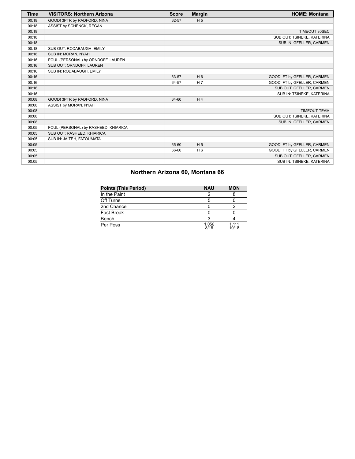| Time  | <b>VISITORS: Northern Arizona</b>    | <b>Score</b> | <b>Margin</b>  | <b>HOME: Montana</b>        |
|-------|--------------------------------------|--------------|----------------|-----------------------------|
| 00:18 | GOOD! 3PTR by RADFORD, NINA          | 62-57        | H <sub>5</sub> |                             |
| 00:18 | ASSIST by SCHENCK, REGAN             |              |                |                             |
| 00:18 |                                      |              |                | <b>TIMEOUT 30SEC</b>        |
| 00:18 |                                      |              |                | SUB OUT: TSINEKE, KATERINA  |
| 00:18 |                                      |              |                | SUB IN: GFELLER, CARMEN     |
| 00:18 | SUB OUT: RODABAUGH, EMILY            |              |                |                             |
| 00:18 | SUB IN: MORAN, NYAH                  |              |                |                             |
| 00:16 | FOUL (PERSONAL) by ORNDOFF, LAUREN   |              |                |                             |
| 00:16 | SUB OUT: ORNDOFF, LAUREN             |              |                |                             |
| 00:16 | SUB IN: RODABAUGH, EMILY             |              |                |                             |
| 00:16 |                                      | 63-57        | H <sub>6</sub> | GOOD! FT by GFELLER, CARMEN |
| 00:16 |                                      | 64-57        | H <sub>7</sub> | GOOD! FT by GFELLER, CARMEN |
| 00:16 |                                      |              |                | SUB OUT: GFELLER, CARMEN    |
| 00:16 |                                      |              |                | SUB IN: TSINEKE, KATERINA   |
| 00:08 | GOOD! 3PTR by RADFORD, NINA          | 64-60        | H <sub>4</sub> |                             |
| 00:08 | ASSIST by MORAN, NYAH                |              |                |                             |
| 00:08 |                                      |              |                | <b>TIMEOUT TEAM</b>         |
| 00:08 |                                      |              |                | SUB OUT: TSINEKE, KATERINA  |
| 00:08 |                                      |              |                | SUB IN: GFELLER, CARMEN     |
| 00:05 | FOUL (PERSONAL) by RASHEED, KHIARICA |              |                |                             |
| 00:05 | SUB OUT: RASHEED, KHIARICA           |              |                |                             |
| 00:05 | SUB IN: JAITEH, FATOUMATA            |              |                |                             |
| 00:05 |                                      | 65-60        | H <sub>5</sub> | GOOD! FT by GFELLER, CARMEN |
| 00:05 |                                      | 66-60        | H <sub>6</sub> | GOOD! FT by GFELLER, CARMEN |
| 00:05 |                                      |              |                | SUB OUT: GFELLER, CARMEN    |
| 00:05 |                                      |              |                | SUB IN: TSINEKE, KATERINA   |

## **Northern Arizona 60, Montana 66**

| <b>Points (This Period)</b> | <b>NAU</b>    | <b>MON</b>     |
|-----------------------------|---------------|----------------|
| In the Paint                |               |                |
| Off Turns                   |               |                |
| 2nd Chance                  |               |                |
| Fast Break                  |               |                |
| Bench                       |               |                |
| Per Poss                    | 1.056<br>8/18 | 1 111<br>10/18 |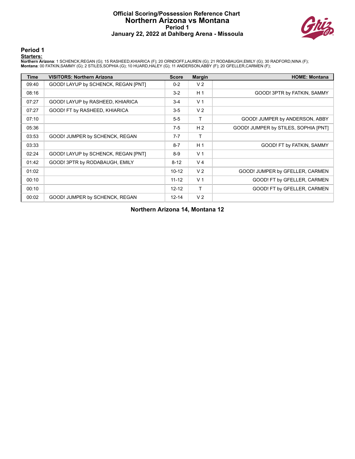## **Official Scoring/Possession Reference Chart Northern Arizona vs Montana Period 1 January 22, 2022 at Dahlberg Arena - Missoula**



**Period 1**

#### **Starters:**

Northern Arizona: 1 SCHENCK,REGAN (G); 15 RASHEED,KHIARICA (F); 20 ORNDOFF,LAUREN (G); 21 RODABAUGH,EMILY (G); 30 RADFORD,NINA (F);<br>Montana: 00 FATKIN,SAMMY (G); 2 STILES,SOPHIA (G); 10 HUARD,HALEY (G); 11 ANDERSON,ABBY (F

| <b>Time</b> | <b>VISITORS: Northern Arizona</b>   | <b>Score</b> | <b>Margin</b>  | <b>HOME: Montana</b>                 |
|-------------|-------------------------------------|--------------|----------------|--------------------------------------|
| 09:40       | GOOD! LAYUP by SCHENCK, REGAN [PNT] | $0 - 2$      | V <sub>2</sub> |                                      |
| 08:16       |                                     | $3-2$        | H <sub>1</sub> | GOOD! 3PTR by FATKIN, SAMMY          |
| 07:27       | GOOD! LAYUP by RASHEED, KHIARICA    | $3 - 4$      | V <sub>1</sub> |                                      |
| 07:27       | GOOD! FT by RASHEED, KHIARICA       | $3 - 5$      | V <sub>2</sub> |                                      |
| 07:10       |                                     | $5-5$        | T              | GOOD! JUMPER by ANDERSON, ABBY       |
| 05:36       |                                     | $7-5$        | H <sub>2</sub> | GOOD! JUMPER by STILES, SOPHIA [PNT] |
| 03:53       | GOOD! JUMPER by SCHENCK, REGAN      | $7 - 7$      | т              |                                      |
| 03:33       |                                     | $8 - 7$      | H <sub>1</sub> | GOOD! FT by FATKIN, SAMMY            |
| 02:24       | GOOD! LAYUP by SCHENCK, REGAN [PNT] | $8-9$        | V <sub>1</sub> |                                      |
| 01:42       | GOOD! 3PTR by RODABAUGH, EMILY      | $8 - 12$     | V <sub>4</sub> |                                      |
| 01:02       |                                     | $10 - 12$    | V <sub>2</sub> | GOOD! JUMPER by GFELLER, CARMEN      |
| 00:10       |                                     | $11 - 12$    | V <sub>1</sub> | GOOD! FT by GFELLER, CARMEN          |
| 00:10       |                                     | $12 - 12$    | T              | GOOD! FT by GFELLER, CARMEN          |
| 00:02       | GOOD! JUMPER by SCHENCK, REGAN      | $12 - 14$    | V <sub>2</sub> |                                      |

**Northern Arizona 14, Montana 12**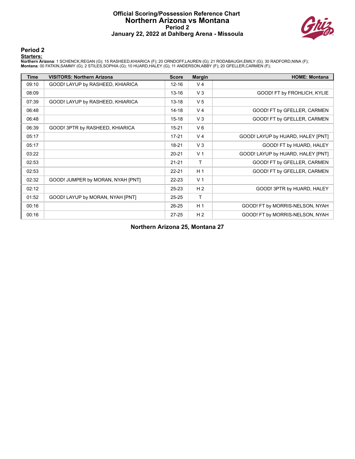## **Official Scoring/Possession Reference Chart Northern Arizona vs Montana Period 2 January 22, 2022 at Dahlberg Arena - Missoula**



**Period 2**

#### **Starters:**

Northern Arizona: 1 SCHENCK,REGAN (G); 15 RASHEED,KHIARICA (F); 20 ORNDOFF,LAUREN (G); 21 RODABAUGH,EMILY (G); 30 RADFORD,NINA (F);<br>Montana: 00 FATKIN,SAMMY (G); 2 STILES,SOPHIA (G); 10 HUARD,HALEY (G); 11 ANDERSON,ABBY (F

| <b>Time</b> | <b>VISITORS: Northern Arizona</b> | <b>Score</b> | <b>Margin</b>  | <b>HOME: Montana</b>              |
|-------------|-----------------------------------|--------------|----------------|-----------------------------------|
| 09:10       | GOOD! LAYUP by RASHEED, KHIARICA  | $12 - 16$    | V <sub>4</sub> |                                   |
| 08:09       |                                   | 13-16        | $V_3$          | GOOD! FT by FROHLICH, KYLIE       |
| 07:39       | GOOD! LAYUP by RASHEED, KHIARICA  | $13 - 18$    | V <sub>5</sub> |                                   |
| 06:48       |                                   | $14 - 18$    | V <sub>4</sub> | GOOD! FT by GFELLER, CARMEN       |
| 06:48       |                                   | $15 - 18$    | $V_3$          | GOOD! FT by GFELLER, CARMEN       |
| 06:39       | GOOD! 3PTR by RASHEED, KHIARICA   | $15 - 21$    | $V_6$          |                                   |
| 05:17       |                                   | $17 - 21$    | V <sub>4</sub> | GOOD! LAYUP by HUARD, HALEY [PNT] |
| 05:17       |                                   | $18 - 21$    | $V_3$          | GOOD! FT by HUARD, HALEY          |
| 03:22       |                                   | $20 - 21$    | V <sub>1</sub> | GOOD! LAYUP by HUARD, HALEY [PNT] |
| 02:53       |                                   | $21 - 21$    | $\mathsf{T}$   | GOOD! FT by GFELLER, CARMEN       |
| 02:53       |                                   | $22 - 21$    | H <sub>1</sub> | GOOD! FT by GFELLER, CARMEN       |
| 02:32       | GOOD! JUMPER by MORAN, NYAH [PNT] | $22 - 23$    | V <sub>1</sub> |                                   |
| 02:12       |                                   | $25 - 23$    | H <sub>2</sub> | GOOD! 3PTR by HUARD, HALEY        |
| 01:52       | GOOD! LAYUP by MORAN, NYAH [PNT]  | 25-25        | $\mathsf{T}$   |                                   |
| 00:16       |                                   | $26 - 25$    | H <sub>1</sub> | GOOD! FT by MORRIS-NELSON, NYAH   |
| 00:16       |                                   | $27 - 25$    | H <sub>2</sub> | GOOD! FT by MORRIS-NELSON, NYAH   |

**Northern Arizona 25, Montana 27**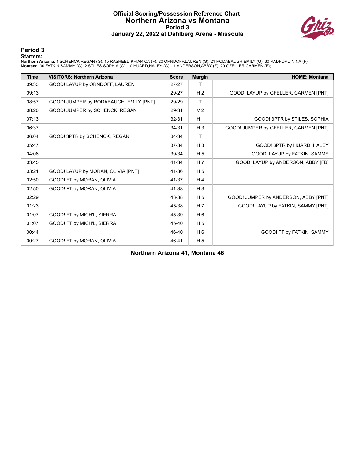## **Official Scoring/Possession Reference Chart Northern Arizona vs Montana Period 3 January 22, 2022 at Dahlberg Arena - Missoula**



**Period 3**

#### **Starters:**

Northern Arizona: 1 SCHENCK,REGAN (G); 15 RASHEED,KHIARICA (F); 20 ORNDOFF,LAUREN (G); 21 RODABAUGH,EMILY (G); 30 RADFORD,NINA (F);<br>Montana: 00 FATKIN,SAMMY (G); 2 STILES,SOPHIA (G); 10 HUARD,HALEY (G); 11 ANDERSON,ABBY (F

| <b>Time</b> | <b>VISITORS: Northern Arizona</b>      | <b>Score</b> | <b>Margin</b>  | <b>HOME: Montana</b>                  |
|-------------|----------------------------------------|--------------|----------------|---------------------------------------|
| 09:33       | GOOD! LAYUP by ORNDOFF, LAUREN         | $27 - 27$    | т              |                                       |
| 09:13       |                                        | 29-27        | H <sub>2</sub> | GOOD! LAYUP by GFELLER, CARMEN [PNT]  |
| 08:57       | GOOD! JUMPER by RODABAUGH, EMILY [PNT] | 29-29        | T.             |                                       |
| 08:20       | GOOD! JUMPER by SCHENCK, REGAN         | 29-31        | V <sub>2</sub> |                                       |
| 07:13       |                                        | 32-31        | H <sub>1</sub> | GOOD! 3PTR by STILES, SOPHIA          |
| 06:37       |                                        | 34-31        | $H_3$          | GOOD! JUMPER by GFELLER, CARMEN [PNT] |
| 06:04       | GOOD! 3PTR by SCHENCK, REGAN           | 34-34        | $\mathsf{T}$   |                                       |
| 05:47       |                                        | 37-34        | $H_3$          | GOOD! 3PTR by HUARD, HALEY            |
| 04:06       |                                        | 39-34        | H <sub>5</sub> | GOOD! LAYUP by FATKIN, SAMMY          |
| 03:45       |                                        | 41-34        | H 7            | GOOD! LAYUP by ANDERSON, ABBY [FB]    |
| 03:21       | GOOD! LAYUP by MORAN, OLIVIA [PNT]     | 41-36        | H <sub>5</sub> |                                       |
| 02:50       | GOOD! FT by MORAN, OLIVIA              | 41-37        | H <sub>4</sub> |                                       |
| 02:50       | GOOD! FT by MORAN, OLIVIA              | 41-38        | $H_3$          |                                       |
| 02:29       |                                        | 43-38        | H <sub>5</sub> | GOOD! JUMPER by ANDERSON, ABBY [PNT]  |
| 01:23       |                                        | 45-38        | H 7            | GOOD! LAYUP by FATKIN, SAMMY [PNT]    |
| 01:07       | GOOD! FT by MICH'L, SIERRA             | 45-39        | $H_6$          |                                       |
| 01:07       | GOOD! FT by MICH'L, SIERRA             | 45-40        | H <sub>5</sub> |                                       |
| 00:44       |                                        | 46-40        | $H_6$          | GOOD! FT by FATKIN, SAMMY             |
| 00:27       | GOOD! FT by MORAN, OLIVIA              | 46-41        | H <sub>5</sub> |                                       |

**Northern Arizona 41, Montana 46**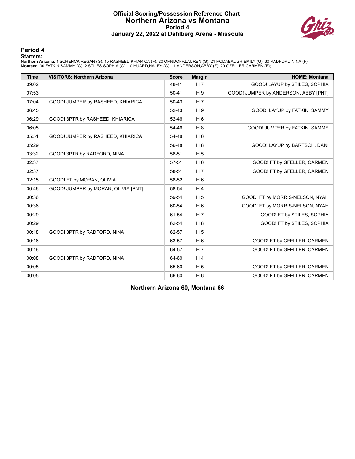## **Official Scoring/Possession Reference Chart Northern Arizona vs Montana Period 4 January 22, 2022 at Dahlberg Arena - Missoula**



**Period 4**

#### **Starters:**

Northern Arizona: 1 SCHENCK,REGAN (G); 15 RASHEED,KHIARICA (F); 20 ORNDOFF,LAUREN (G); 21 RODABAUGH,EMILY (G); 30 RADFORD,NINA (F);<br>Montana: 00 FATKIN,SAMMY (G); 2 STILES,SOPHIA (G); 10 HUARD,HALEY (G); 11 ANDERSON,ABBY (F

| <b>Time</b> | <b>VISITORS: Northern Arizona</b>   | <b>Score</b> | <b>Margin</b>  | <b>HOME: Montana</b>                 |
|-------------|-------------------------------------|--------------|----------------|--------------------------------------|
| 09:02       |                                     | 48-41        | H <sub>7</sub> | GOOD! LAYUP by STILES, SOPHIA        |
| 07:53       |                                     | $50 - 41$    | H9             | GOOD! JUMPER by ANDERSON, ABBY [PNT] |
| 07:04       | GOOD! JUMPER by RASHEED, KHIARICA   | $50 - 43$    | H <sub>7</sub> |                                      |
| 06:45       |                                     | 52-43        | H 9            | GOOD! LAYUP by FATKIN, SAMMY         |
| 06:29       | GOOD! 3PTR by RASHEED, KHIARICA     | $52 - 46$    | H <sub>6</sub> |                                      |
| 06:05       |                                     | 54-46        | H8             | GOOD! JUMPER by FATKIN, SAMMY        |
| 05:51       | GOOD! JUMPER by RASHEED, KHIARICA   | 54-48        | H <sub>6</sub> |                                      |
| 05:29       |                                     | 56-48        | H8             | GOOD! LAYUP by BARTSCH, DANI         |
| 03:32       | GOOD! 3PTR by RADFORD, NINA         | 56-51        | H <sub>5</sub> |                                      |
| 02:37       |                                     | 57-51        | H <sub>6</sub> | GOOD! FT by GFELLER, CARMEN          |
| 02:37       |                                     | 58-51        | H <sub>7</sub> | GOOD! FT by GFELLER, CARMEN          |
| 02:15       | GOOD! FT by MORAN, OLIVIA           | 58-52        | H <sub>6</sub> |                                      |
| 00:46       | GOOD! JUMPER by MORAN, OLIVIA [PNT] | 58-54        | H <sub>4</sub> |                                      |
| 00:36       |                                     | 59-54        | H <sub>5</sub> | GOOD! FT by MORRIS-NELSON, NYAH      |
| 00:36       |                                     | 60-54        | H <sub>6</sub> | GOOD! FT by MORRIS-NELSON, NYAH      |
| 00:29       |                                     | 61-54        | H <sub>7</sub> | GOOD! FT by STILES, SOPHIA           |
| 00:29       |                                     | 62-54        | H 8            | GOOD! FT by STILES, SOPHIA           |
| 00:18       | GOOD! 3PTR by RADFORD, NINA         | 62-57        | H <sub>5</sub> |                                      |
| 00:16       |                                     | 63-57        | H <sub>6</sub> | GOOD! FT by GFELLER, CARMEN          |
| 00:16       |                                     | 64-57        | H <sub>7</sub> | GOOD! FT by GFELLER, CARMEN          |
| 00:08       | GOOD! 3PTR by RADFORD, NINA         | 64-60        | H <sub>4</sub> |                                      |
| 00:05       |                                     | 65-60        | H <sub>5</sub> | GOOD! FT by GFELLER, CARMEN          |
| 00:05       |                                     | 66-60        | H <sub>6</sub> | GOOD! FT by GFELLER, CARMEN          |

**Northern Arizona 60, Montana 66**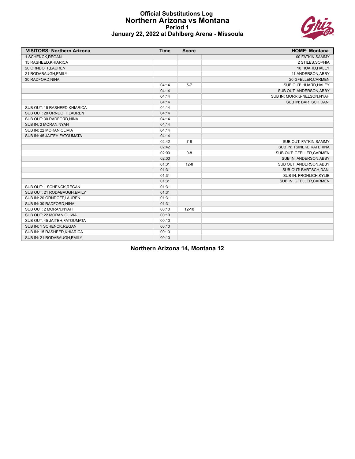## **Official Substitutions Log Northern Arizona vs Montana Period 1 January 22, 2022 at Dahlberg Arena - Missoula**



| <b>VISITORS: Northern Arizona</b> | <b>Time</b> | <b>Score</b> | <b>HOME: Montana</b>        |
|-----------------------------------|-------------|--------------|-----------------------------|
| 1 SCHENCK, REGAN                  |             |              | 00 FATKIN, SAMMY            |
| 15 RASHEED, KHIARICA              |             |              | 2 STILES, SOPHIA            |
| 20 ORNDOFF,LAUREN                 |             |              | 10 HUARD, HALEY             |
| 21 RODABAUGH, EMILY               |             |              | 11 ANDERSON, ABBY           |
| 30 RADFORD, NINA                  |             |              | 20 GFELLER, CARMEN          |
|                                   | 04:14       | $5 - 7$      | SUB OUT: HUARD, HALEY       |
|                                   | 04:14       |              | SUB OUT: ANDERSON, ABBY     |
|                                   | 04:14       |              | SUB IN: MORRIS-NELSON, NYAH |
|                                   | 04:14       |              | SUB IN: BARTSCH, DANI       |
| SUB OUT: 15 RASHEED, KHIARICA     | 04:14       |              |                             |
| SUB OUT: 20 ORNDOFF.LAUREN        | 04:14       |              |                             |
| SUB OUT: 30 RADFORD, NINA         | 04:14       |              |                             |
| SUB IN: 2 MORAN, NYAH             | 04:14       |              |                             |
| SUB IN: 22 MORAN, OLIVIA          | 04:14       |              |                             |
| SUB IN: 45 JAITEH, FATOUMATA      | 04:14       |              |                             |
|                                   | 02:42       | $7 - 8$      | SUB OUT: FATKIN, SAMMY      |
|                                   | 02:42       |              | SUB IN: TSINEKE, KATERINA   |
|                                   | 02:00       | $9-8$        | SUB OUT: GFELLER, CARMEN    |
|                                   | 02:00       |              | SUB IN: ANDERSON, ABBY      |
|                                   | 01:31       | $12 - 8$     | SUB OUT: ANDERSON, ABBY     |
|                                   | 01:31       |              | SUB OUT: BARTSCH, DANI      |
|                                   | 01:31       |              | SUB IN: FROHLICH, KYLIE     |
|                                   | 01:31       |              | SUB IN: GFELLER, CARMEN     |
| SUB OUT: 1 SCHENCK, REGAN         | 01:31       |              |                             |
| SUB OUT: 21 RODABAUGH, EMILY      | 01:31       |              |                             |
| SUB IN: 20 ORNDOFF, LAUREN        | 01:31       |              |                             |
| SUB IN: 30 RADFORD, NINA          | 01:31       |              |                             |
| SUB OUT: 2 MORAN, NYAH            | 00:10       | $12 - 10$    |                             |
| SUB OUT: 22 MORAN, OLIVIA         | 00:10       |              |                             |
| SUB OUT: 45 JAITEH, FATOUMATA     | 00:10       |              |                             |
| SUB IN: 1 SCHENCK, REGAN          | 00:10       |              |                             |
| SUB IN: 15 RASHEED, KHIARICA      | 00:10       |              |                             |
| SUB IN: 21 RODABAUGH, EMILY       | 00:10       |              |                             |

**Northern Arizona 14, Montana 12**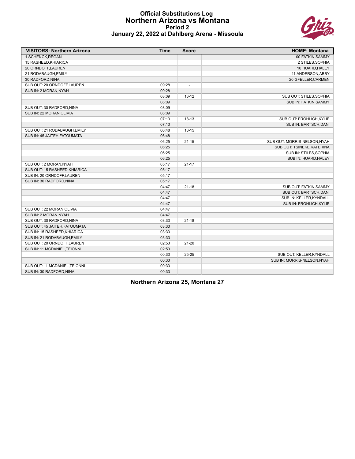#### **Official Substitutions Log Northern Arizona vs Montana Period 2 January 22, 2022 at Dahlberg Arena - Missoula**



| <b>VISITORS: Northern Arizona</b> | <b>Time</b> | <b>Score</b>             | <b>HOME: Montana</b>         |
|-----------------------------------|-------------|--------------------------|------------------------------|
| 1 SCHENCK.REGAN                   |             |                          | 00 FATKIN, SAMMY             |
| 15 RASHEED, KHIARICA              |             |                          | 2 STILES, SOPHIA             |
| 20 ORNDOFF,LAUREN                 |             |                          | 10 HUARD, HALEY              |
| 21 RODABAUGH, EMILY               |             |                          | 11 ANDERSON, ABBY            |
| 30 RADFORD, NINA                  |             |                          | 20 GFELLER, CARMEN           |
| SUB OUT: 20 ORNDOFF,LAUREN        | 09:28       | $\overline{\phantom{a}}$ |                              |
| SUB IN: 2 MORAN, NYAH             | 09:28       |                          |                              |
|                                   | 08:09       | $16-12$                  | SUB OUT: STILES, SOPHIA      |
|                                   | 08:09       |                          | <b>SUB IN: FATKIN, SAMMY</b> |
| SUB OUT: 30 RADFORD, NINA         | 08:09       |                          |                              |
| SUB IN: 22 MORAN, OLIVIA          | 08:09       |                          |                              |
|                                   | 07:13       | $18 - 13$                | SUB OUT: FROHLICH, KYLIE     |
|                                   | 07:13       |                          | SUB IN: BARTSCH, DANI        |
| SUB OUT: 21 RODABAUGH, EMILY      | 06:48       | $18 - 15$                |                              |
| SUB IN: 45 JAITEH, FATOUMATA      | 06:48       |                          |                              |
|                                   | 06:25       | $21 - 15$                | SUB OUT: MORRIS-NELSON, NYAH |
|                                   | 06:25       |                          | SUB OUT: TSINEKE, KATERINA   |
|                                   | 06:25       |                          | SUB IN: STILES, SOPHIA       |
|                                   | 06:25       |                          | SUB IN: HUARD, HALEY         |
| SUB OUT: 2 MORAN, NYAH            | 05:17       | $21 - 17$                |                              |
| SUB OUT: 15 RASHEED, KHIARICA     | 05:17       |                          |                              |
| SUB IN: 20 ORNDOFF, LAUREN        | 05:17       |                          |                              |
| SUB IN: 30 RADFORD, NINA          | 05:17       |                          |                              |
|                                   | 04:47       | $21 - 18$                | SUB OUT: FATKIN, SAMMY       |
|                                   | 04:47       |                          | SUB OUT: BARTSCH, DANI       |
|                                   | 04:47       |                          | SUB IN: KELLER, KYNDALL      |
|                                   | 04:47       |                          | SUB IN: FROHLICH, KYLIE      |
| SUB OUT: 22 MORAN, OLIVIA         | 04:47       |                          |                              |
| SUB IN: 2 MORAN, NYAH             | 04:47       |                          |                              |
| SUB OUT: 30 RADFORD, NINA         | 03:33       | $21 - 18$                |                              |
| SUB OUT: 45 JAITEH, FATOUMATA     | 03:33       |                          |                              |
| SUB IN: 15 RASHEED, KHIARICA      | 03:33       |                          |                              |
| SUB IN: 21 RODABAUGH, EMILY       | 03:33       |                          |                              |
| SUB OUT: 20 ORNDOFF,LAUREN        | 02:53       | $21 - 20$                |                              |
| SUB IN: 11 MCDANIEL, TEIONNI      | 02:53       |                          |                              |
|                                   | 00:33       | $25 - 25$                | SUB OUT: KELLER, KYNDALL     |
|                                   | 00:33       |                          | SUB IN: MORRIS-NELSON, NYAH  |
| SUB OUT: 11 MCDANIEL, TEIONNI     | 00:33       |                          |                              |
| SUB IN: 30 RADFORD, NINA          | 00:33       |                          |                              |

**Northern Arizona 25, Montana 27**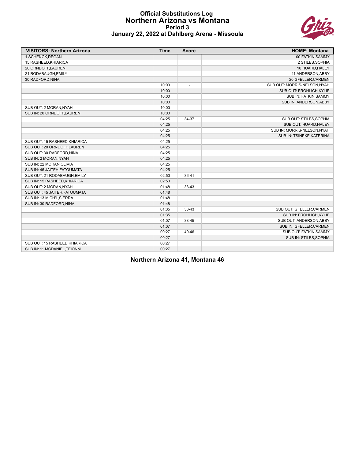#### **Official Substitutions Log Northern Arizona vs Montana Period 3 January 22, 2022 at Dahlberg Arena - Missoula**



| <b>VISITORS: Northern Arizona</b> | <b>Time</b> | <b>Score</b>   | <b>HOME: Montana</b>         |
|-----------------------------------|-------------|----------------|------------------------------|
| 1 SCHENCK, REGAN                  |             |                | 00 FATKIN, SAMMY             |
| 15 RASHEED, KHIARICA              |             |                | 2 STILES, SOPHIA             |
| 20 ORNDOFF,LAUREN                 |             |                | 10 HUARD, HALEY              |
| 21 RODABAUGH, EMILY               |             |                | 11 ANDERSON, ABBY            |
| 30 RADFORD, NINA                  |             |                | 20 GFELLER, CARMEN           |
|                                   | 10:00       | $\overline{a}$ | SUB OUT: MORRIS-NELSON, NYAH |
|                                   | 10:00       |                | SUB OUT: FROHLICH, KYLIE     |
|                                   | 10:00       |                | SUB IN: FATKIN, SAMMY        |
|                                   | 10:00       |                | SUB IN: ANDERSON, ABBY       |
| SUB OUT: 2 MORAN, NYAH            | 10:00       |                |                              |
| SUB IN: 20 ORNDOFF.LAUREN         | 10:00       |                |                              |
|                                   | 04:25       | 34-37          | SUB OUT: STILES, SOPHIA      |
|                                   | 04:25       |                | SUB OUT: HUARD, HALEY        |
|                                   | 04:25       |                | SUB IN: MORRIS-NELSON, NYAH  |
|                                   | 04:25       |                | SUB IN: TSINEKE, KATERINA    |
| SUB OUT: 15 RASHEED, KHIARICA     | 04:25       |                |                              |
| SUB OUT: 20 ORNDOFF.LAUREN        | 04:25       |                |                              |
| SUB OUT: 30 RADFORD, NINA         | 04:25       |                |                              |
| SUB IN: 2 MORAN, NYAH             | 04:25       |                |                              |
| SUB IN: 22 MORAN, OLIVIA          | 04:25       |                |                              |
| SUB IN: 45 JAITEH, FATOUMATA      | 04:25       |                |                              |
| SUB OUT: 21 RODABAUGH, EMILY      | 02:50       | 36-41          |                              |
| SUB IN: 15 RASHEED, KHIARICA      | 02:50       |                |                              |
| SUB OUT: 2 MORAN, NYAH            | 01:48       | 38-43          |                              |
| SUB OUT: 45 JAITEH, FATOUMATA     | 01:48       |                |                              |
| SUB IN: 13 MICH'L, SIERRA         | 01:48       |                |                              |
| SUB IN: 30 RADFORD, NINA          | 01:48       |                |                              |
|                                   | 01:35       | 38-43          | SUB OUT: GFELLER, CARMEN     |
|                                   | 01:35       |                | SUB IN: FROHLICH, KYLIE      |
|                                   | 01:07       | 38-45          | SUB OUT: ANDERSON, ABBY      |
|                                   | 01:07       |                | SUB IN: GFELLER, CARMEN      |
|                                   | 00:27       | 40-46          | SUB OUT: FATKIN, SAMMY       |
|                                   | 00:27       |                | SUB IN: STILES, SOPHIA       |
| SUB OUT: 15 RASHEED, KHIARICA     | 00:27       |                |                              |
| SUB IN: 11 MCDANIEL, TEIONNI      | 00:27       |                |                              |

**Northern Arizona 41, Montana 46**